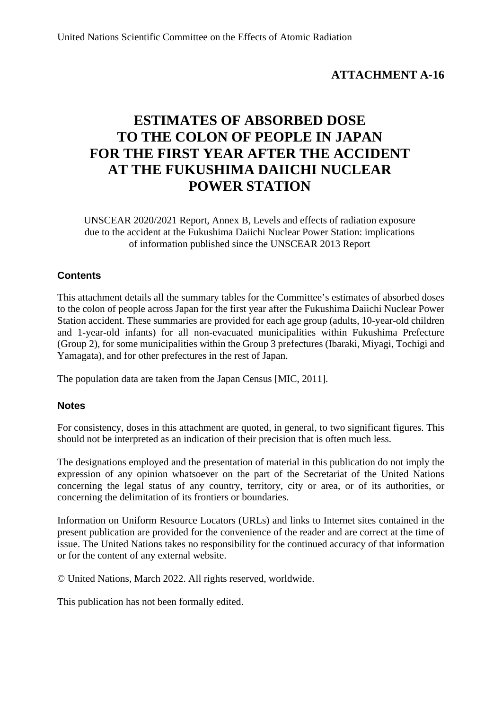# **ATTACHMENT A-16**

# **ESTIMATES OF ABSORBED DOSE TO THE COLON OF PEOPLE IN JAPAN FOR THE FIRST YEAR AFTER THE ACCIDENT AT THE FUKUSHIMA DAIICHI NUCLEAR POWER STATION**

UNSCEAR 2020/2021 Report, Annex B, Levels and effects of radiation exposure due to the accident at the Fukushima Daiichi Nuclear Power Station: implications of information published since the UNSCEAR 2013 Report

## **Contents**

This attachment details all the summary tables for the Committee's estimates of absorbed doses to the colon of people across Japan for the first year after the Fukushima Daiichi Nuclear Power Station accident. These summaries are provided for each age group (adults, 10-year-old children and 1-year-old infants) for all non-evacuated municipalities within Fukushima Prefecture (Group 2), for some municipalities within the Group 3 prefectures (Ibaraki, Miyagi, Tochigi and Yamagata), and for other prefectures in the rest of Japan.

The population data are taken from the Japan Census [MIC, 2011].

## **Notes**

For consistency, doses in this attachment are quoted, in general, to two significant figures. This should not be interpreted as an indication of their precision that is often much less.

The designations employed and the presentation of material in this publication do not imply the expression of any opinion whatsoever on the part of the Secretariat of the United Nations concerning the legal status of any country, territory, city or area, or of its authorities, or concerning the delimitation of its frontiers or boundaries.

Information on Uniform Resource Locators (URLs) and links to Internet sites contained in the present publication are provided for the convenience of the reader and are correct at the time of issue. The United Nations takes no responsibility for the continued accuracy of that information or for the content of any external website.

© United Nations, March 2022. All rights reserved, worldwide.

This publication has not been formally edited.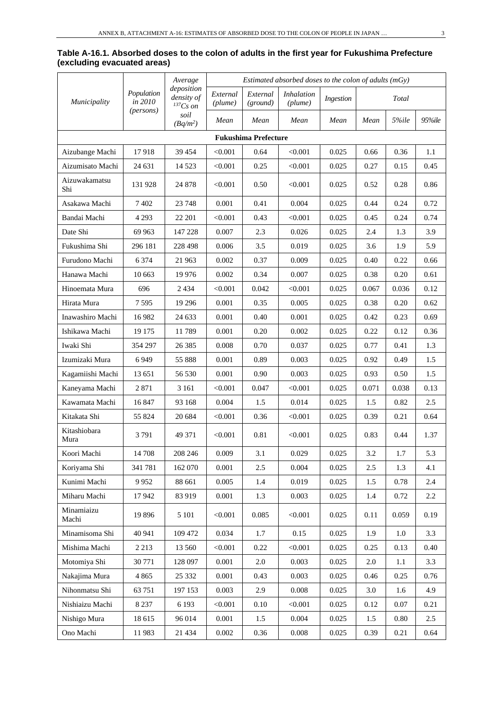|                             | Table A-16.1. Absorbed doses to the colon of adults in the first year for Fukushima Prefecture |  |  |
|-----------------------------|------------------------------------------------------------------------------------------------|--|--|
| (excluding evacuated areas) |                                                                                                |  |  |

|                      | Average               | Estimated absorbed doses to the colon of adults $(mGv)$ |                     |                             |                              |           |       |              |        |
|----------------------|-----------------------|---------------------------------------------------------|---------------------|-----------------------------|------------------------------|-----------|-------|--------------|--------|
| Municipality         | Population<br>in 2010 | deposition<br>density of<br>${}^{137}Cs$ on             | External<br>(plume) | External<br>(ground)        | <i>Inhalation</i><br>(plume) | Ingestion |       | <b>Total</b> |        |
|                      | (persons)             | soil<br>$(Bq/m^2)$                                      | Mean                | Mean                        | Mean                         | Mean      | Mean  | 5%ile        | 95%ile |
|                      |                       |                                                         |                     | <b>Fukushima Prefecture</b> |                              |           |       |              |        |
| Aizubange Machi      | 17918                 | 39 45 4                                                 | < 0.001             | 0.64                        | < 0.001                      | 0.025     | 0.66  | 0.36         | 1.1    |
| Aizumisato Machi     | 24 631                | 14 5 23                                                 | < 0.001             | 0.25                        | < 0.001                      | 0.025     | 0.27  | 0.15         | 0.45   |
| Aizuwakamatsu<br>Shi | 131 928               | 24 878                                                  | < 0.001             | 0.50                        | < 0.001                      | 0.025     | 0.52  | 0.28         | 0.86   |
| Asakawa Machi        | 7402                  | 23 748                                                  | 0.001               | 0.41                        | 0.004                        | 0.025     | 0.44  | 0.24         | 0.72   |
| Bandai Machi         | 4 2 9 3               | 22 201                                                  | < 0.001             | 0.43                        | < 0.001                      | 0.025     | 0.45  | 0.24         | 0.74   |
| Date Shi             | 69 963                | 147 228                                                 | 0.007               | 2.3                         | 0.026                        | 0.025     | 2.4   | 1.3          | 3.9    |
| Fukushima Shi        | 296 181               | 228 498                                                 | 0.006               | 3.5                         | 0.019                        | 0.025     | 3.6   | 1.9          | 5.9    |
| Furudono Machi       | 6 3 7 4               | 21 963                                                  | 0.002               | 0.37                        | 0.009                        | 0.025     | 0.40  | 0.22         | 0.66   |
| Hanawa Machi         | 10 663                | 19 9 76                                                 | 0.002               | 0.34                        | 0.007                        | 0.025     | 0.38  | 0.20         | 0.61   |
| Hinoemata Mura       | 696                   | 2 4 3 4                                                 | < 0.001             | 0.042                       | < 0.001                      | 0.025     | 0.067 | 0.036        | 0.12   |
| Hirata Mura          | 7595                  | 19 29 6                                                 | 0.001               | 0.35                        | 0.005                        | 0.025     | 0.38  | 0.20         | 0.62   |
| Inawashiro Machi     | 16 982                | 24 633                                                  | 0.001               | 0.40                        | 0.001                        | 0.025     | 0.42  | 0.23         | 0.69   |
| Ishikawa Machi       | 19 175                | 11789                                                   | 0.001               | 0.20                        | 0.002                        | 0.025     | 0.22  | 0.12         | 0.36   |
| Iwaki Shi            | 354 297               | 26 3 8 5                                                | 0.008               | 0.70                        | 0.037                        | 0.025     | 0.77  | 0.41         | 1.3    |
| Izumizaki Mura       | 6949                  | 55 888                                                  | 0.001               | 0.89                        | 0.003                        | 0.025     | 0.92  | 0.49         | 1.5    |
| Kagamiishi Machi     | 13 651                | 56 530                                                  | 0.001               | 0.90                        | 0.003                        | 0.025     | 0.93  | 0.50         | 1.5    |
| Kaneyama Machi       | 2871                  | 3 1 6 1                                                 | < 0.001             | 0.047                       | < 0.001                      | 0.025     | 0.071 | 0.038        | 0.13   |
| Kawamata Machi       | 16847                 | 93 168                                                  | 0.004               | 1.5                         | 0.014                        | 0.025     | 1.5   | 0.82         | 2.5    |
| Kitakata Shi         | 55 824                | 20 684                                                  | < 0.001             | 0.36                        | < 0.001                      | 0.025     | 0.39  | 0.21         | 0.64   |
| Kitashiobara<br>Mura | 3791                  | 49 371                                                  | < 0.001             | 0.81                        | < 0.001                      | 0.025     | 0.83  | 0.44         | 1.37   |
| Koori Machi          | 14 708                | 208 246                                                 | 0.009               | 3.1                         | 0.029                        | 0.025     | 3.2   | 1.7          | 5.3    |
| Koriyama Shi         | 341 781               | 162 070                                                 | 0.001               | $2.5\,$                     | 0.004                        | 0.025     | 2.5   | 1.3          | 4.1    |
| Kunimi Machi         | 9952                  | 88 661                                                  | 0.005               | 1.4                         | 0.019                        | 0.025     | 1.5   | 0.78         | 2.4    |
| Miharu Machi         | 17942                 | 83 919                                                  | 0.001               | 1.3                         | 0.003                        | 0.025     | 1.4   | 0.72         | 2.2    |
| Minamiaizu<br>Machi  | 19896                 | 5 1 0 1                                                 | < 0.001             | 0.085                       | < 0.001                      | 0.025     | 0.11  | 0.059        | 0.19   |
| Minamisoma Shi       | 40 941                | 109 472                                                 | 0.034               | 1.7                         | 0.15                         | 0.025     | 1.9   | 1.0          | 3.3    |
| Mishima Machi        | 2 2 1 3               | 13 560                                                  | < 0.001             | 0.22                        | < 0.001                      | 0.025     | 0.25  | 0.13         | 0.40   |
| Motomiya Shi         | 30 771                | 128 097                                                 | 0.001               | $2.0\,$                     | 0.003                        | 0.025     | 2.0   | 1.1          | 3.3    |
| Nakajima Mura        | 4 8 6 5               | 25 332                                                  | 0.001               | 0.43                        | 0.003                        | 0.025     | 0.46  | 0.25         | 0.76   |
| Nihonmatsu Shi       | 63 751                | 197 153                                                 | 0.003               | 2.9                         | 0.008                        | 0.025     | 3.0   | 1.6          | 4.9    |
| Nishiaizu Machi      | 8 2 3 7               | 6 1 9 3                                                 | < 0.001             | 0.10                        | < 0.001                      | 0.025     | 0.12  | 0.07         | 0.21   |
| Nishigo Mura         | 18 615                | 96 014                                                  | 0.001               | 1.5                         | 0.004                        | 0.025     | 1.5   | 0.80         | 2.5    |
| Ono Machi            | 11983                 | 21 4 34                                                 | 0.002               | 0.36                        | 0.008                        | 0.025     | 0.39  | 0.21         | 0.64   |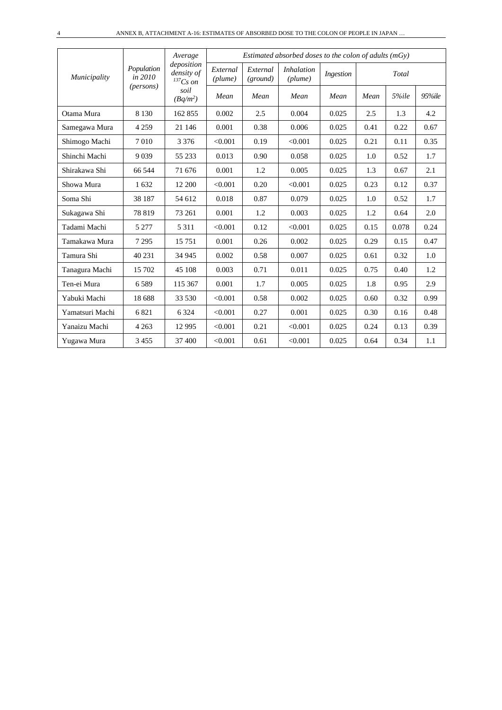|                 |                       | Average                                   |                     |                      | Estimated absorbed doses to the colon of adults $(mGy)$ |           |      |       |        |
|-----------------|-----------------------|-------------------------------------------|---------------------|----------------------|---------------------------------------------------------|-----------|------|-------|--------|
| Municipality    | Population<br>in 2010 | deposition<br>density of<br>$^{137}Cs$ on | External<br>(plume) | External<br>(ground) | <i>Inhalation</i><br>(plume)                            | Ingestion |      | Total |        |
|                 | ( <i>persons</i> )    | soil<br>$(Bq/m^2)$                        | Mean                | Mean                 | Mean                                                    | Mean      | Mean | 5%ile | 95%ile |
| Otama Mura      | 8 1 3 0               | 162 855                                   | 0.002               | 2.5                  | 0.004                                                   | 0.025     | 2.5  | 1.3   | 4.2    |
| Samegawa Mura   | 4 2 5 9               | 21 14 6                                   | 0.001               | 0.38                 | 0.006                                                   | 0.025     | 0.41 | 0.22  | 0.67   |
| Shimogo Machi   | 7010                  | 3 3 7 6                                   | < 0.001             | 0.19                 | < 0.001                                                 | 0.025     | 0.21 | 0.11  | 0.35   |
| Shinchi Machi   | 9039                  | 55 233                                    | 0.013               | 0.90                 | 0.058                                                   | 0.025     | 1.0  | 0.52  | 1.7    |
| Shirakawa Shi   | 66 544                | 71 676                                    | 0.001               | 1.2                  | 0.005                                                   | 0.025     | 1.3  | 0.67  | 2.1    |
| Showa Mura      | 1632                  | 12 200                                    | < 0.001             | 0.20                 | < 0.001                                                 | 0.025     | 0.23 | 0.12  | 0.37   |
| Soma Shi        | 38 187                | 54 612                                    | 0.018               | 0.87                 | 0.079                                                   | 0.025     | 1.0  | 0.52  | 1.7    |
| Sukagawa Shi    | 78 819                | 73 261                                    | 0.001               | 1.2                  | 0.003                                                   | 0.025     | 1.2  | 0.64  | 2.0    |
| Tadami Machi    | 5 2 7 7               | 5 3 1 1                                   | < 0.001             | 0.12                 | < 0.001                                                 | 0.025     | 0.15 | 0.078 | 0.24   |
| Tamakawa Mura   | 7 2 9 5               | 15 751                                    | 0.001               | 0.26                 | 0.002                                                   | 0.025     | 0.29 | 0.15  | 0.47   |
| Tamura Shi      | 40 231                | 34 945                                    | 0.002               | 0.58                 | 0.007                                                   | 0.025     | 0.61 | 0.32  | 1.0    |
| Tanagura Machi  | 15 702                | 45 108                                    | 0.003               | 0.71                 | 0.011                                                   | 0.025     | 0.75 | 0.40  | 1.2    |
| Ten-ei Mura     | 6589                  | 115 367                                   | 0.001               | 1.7                  | 0.005                                                   | 0.025     | 1.8  | 0.95  | 2.9    |
| Yabuki Machi    | 18 688                | 33 530                                    | < 0.001             | 0.58                 | 0.002                                                   | 0.025     | 0.60 | 0.32  | 0.99   |
| Yamatsuri Machi | 6821                  | 6 3 2 4                                   | < 0.001             | 0.27                 | 0.001                                                   | 0.025     | 0.30 | 0.16  | 0.48   |
| Yanaizu Machi   | 4 2 6 3               | 12 9 95                                   | < 0.001             | 0.21                 | < 0.001                                                 | 0.025     | 0.24 | 0.13  | 0.39   |
| Yugawa Mura     | 3455                  | 37 400                                    | < 0.001             | 0.61                 | < 0.001                                                 | 0.025     | 0.64 | 0.34  | 1.1    |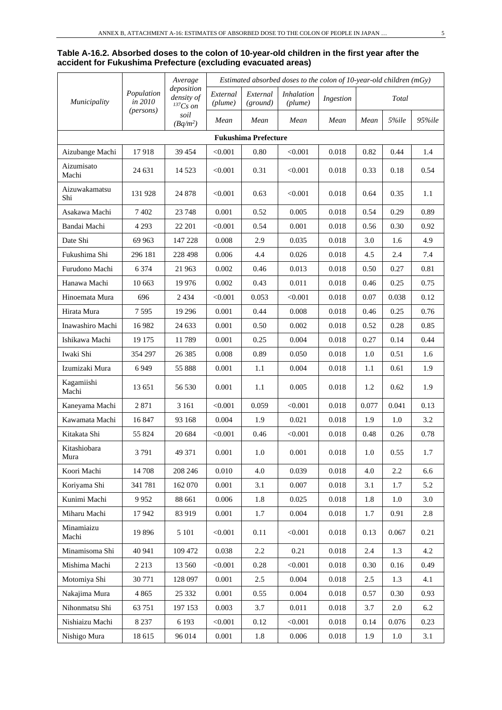#### **Table A-16.2. Absorbed doses to the colon of 10-year-old children in the first year after the accident for Fukushima Prefecture (excluding evacuated areas)**

|                      | Average               | Estimated absorbed doses to the colon of 10-year-old children (mGy) |                     |                             |                       |           |         |       |        |
|----------------------|-----------------------|---------------------------------------------------------------------|---------------------|-----------------------------|-----------------------|-----------|---------|-------|--------|
| Municipality         | Population<br>in 2010 | deposition<br>density of<br>$^{137}Cs$ on                           | External<br>(plume) | External<br>(ground)        | Inhalation<br>(plume) | Ingestion |         | Total |        |
|                      | (persons)             | soil<br>$(Bq/m^2)$                                                  | Mean                | Mean                        | Mean                  | Mean      | Mean    | 5%ile | 95%ile |
|                      |                       |                                                                     |                     | <b>Fukushima Prefecture</b> |                       |           |         |       |        |
| Aizubange Machi      | 17918                 | 39 454                                                              | < 0.001             | 0.80                        | < 0.001               | 0.018     | 0.82    | 0.44  | 1.4    |
| Aizumisato<br>Machi  | 24 631                | 14 5 23                                                             | < 0.001             | 0.31                        | < 0.001               | 0.018     | 0.33    | 0.18  | 0.54   |
| Aizuwakamatsu<br>Shi | 131 928               | 24 878                                                              | < 0.001             | 0.63                        | < 0.001               | 0.018     | 0.64    | 0.35  | 1.1    |
| Asakawa Machi        | 7402                  | 23 748                                                              | 0.001               | 0.52                        | 0.005                 | 0.018     | 0.54    | 0.29  | 0.89   |
| Bandai Machi         | 4 2 9 3               | 22 201                                                              | < 0.001             | 0.54                        | 0.001                 | 0.018     | 0.56    | 0.30  | 0.92   |
| Date Shi             | 69 963                | 147 228                                                             | 0.008               | 2.9                         | 0.035                 | 0.018     | 3.0     | 1.6   | 4.9    |
| Fukushima Shi        | 296 181               | 228 498                                                             | 0.006               | 4.4                         | 0.026                 | 0.018     | 4.5     | 2.4   | 7.4    |
| Furudono Machi       | 6 3 7 4               | 21 963                                                              | 0.002               | 0.46                        | 0.013                 | 0.018     | 0.50    | 0.27  | 0.81   |
| Hanawa Machi         | 10 663                | 19 976                                                              | 0.002               | 0.43                        | 0.011                 | 0.018     | 0.46    | 0.25  | 0.75   |
| Hinoemata Mura       | 696                   | 2 4 3 4                                                             | < 0.001             | 0.053                       | < 0.001               | 0.018     | 0.07    | 0.038 | 0.12   |
| Hirata Mura          | 7595                  | 19 29 6                                                             | 0.001               | 0.44                        | 0.008                 | 0.018     | 0.46    | 0.25  | 0.76   |
| Inawashiro Machi     | 16 9 82               | 24 633                                                              | 0.001               | 0.50                        | 0.002                 | 0.018     | 0.52    | 0.28  | 0.85   |
| Ishikawa Machi       | 19 175                | 11789                                                               | 0.001               | 0.25                        | 0.004                 | 0.018     | 0.27    | 0.14  | 0.44   |
| Iwaki Shi            | 354 297               | 26 38 5                                                             | 0.008               | 0.89                        | 0.050                 | 0.018     | 1.0     | 0.51  | 1.6    |
| Izumizaki Mura       | 6949                  | 55 888                                                              | 0.001               | 1.1                         | 0.004                 | 0.018     | 1.1     | 0.61  | 1.9    |
| Kagamiishi<br>Machi  | 13 651                | 56 530                                                              | 0.001               | 1.1                         | 0.005                 | 0.018     | 1.2     | 0.62  | 1.9    |
| Kaneyama Machi       | 2871                  | 3 1 6 1                                                             | < 0.001             | 0.059                       | < 0.001               | 0.018     | 0.077   | 0.041 | 0.13   |
| Kawamata Machi       | 16847                 | 93 168                                                              | 0.004               | 1.9                         | 0.021                 | 0.018     | 1.9     | 1.0   | 3.2    |
| Kitakata Shi         | 55 824                | 20 684                                                              | < 0.001             | 0.46                        | < 0.001               | 0.018     | 0.48    | 0.26  | 0.78   |
| Kitashiobara<br>Mura | 3791                  | 49 371                                                              | 0.001               | $1.0\,$                     | 0.001                 | 0.018     | $1.0\,$ | 0.55  | 1.7    |
| Koori Machi          | 14 708                | 208 246                                                             | 0.010               | 4.0                         | 0.039                 | 0.018     | 4.0     | 2.2   | 6.6    |
| Koriyama Shi         | 341 781               | 162 070                                                             | 0.001               | 3.1                         | 0.007                 | 0.018     | 3.1     | 1.7   | 5.2    |
| Kunimi Machi         | 9952                  | 88 661                                                              | 0.006               | 1.8                         | 0.025                 | 0.018     | 1.8     | 1.0   | 3.0    |
| Miharu Machi         | 17942                 | 83 919                                                              | 0.001               | 1.7                         | 0.004                 | 0.018     | 1.7     | 0.91  | 2.8    |
| Minamiaizu<br>Machi  | 19896                 | 5 1 0 1                                                             | < 0.001             | 0.11                        | < 0.001               | 0.018     | 0.13    | 0.067 | 0.21   |
| Minamisoma Shi       | 40 941                | 109 472                                                             | 0.038               | $2.2\,$                     | 0.21                  | 0.018     | 2.4     | 1.3   | 4.2    |
| Mishima Machi        | 2 2 1 3               | 13 560                                                              | < 0.001             | 0.28                        | < 0.001               | 0.018     | 0.30    | 0.16  | 0.49   |
| Motomiya Shi         | 30 771                | 128 097                                                             | 0.001               | 2.5                         | 0.004                 | 0.018     | 2.5     | 1.3   | 4.1    |
| Nakajima Mura        | 4 8 6 5               | 25 332                                                              | 0.001               | 0.55                        | 0.004                 | 0.018     | 0.57    | 0.30  | 0.93   |
| Nihonmatsu Shi       | 63 751                | 197 153                                                             | 0.003               | 3.7                         | 0.011                 | 0.018     | 3.7     | 2.0   | 6.2    |
| Nishiaizu Machi      | 8 2 3 7               | 6 1 9 3                                                             | < 0.001             | 0.12                        | < 0.001               | 0.018     | 0.14    | 0.076 | 0.23   |
| Nishigo Mura         | 18 615                | 96 014                                                              | 0.001               | $1.8\,$                     | 0.006                 | 0.018     | 1.9     | 1.0   | 3.1    |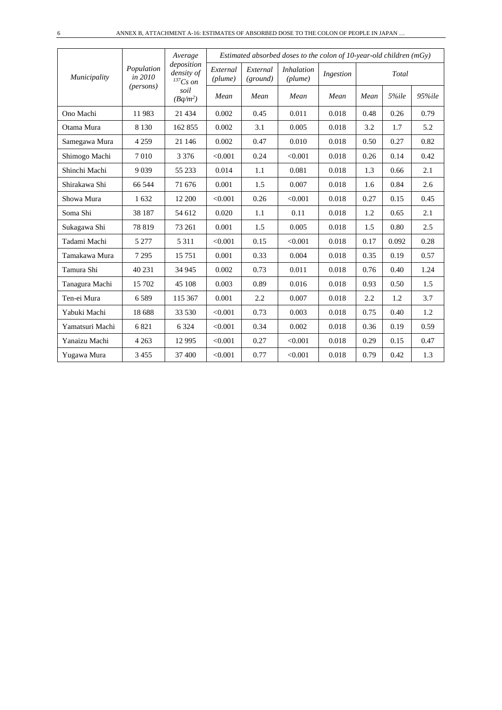|                 |                       | Average<br>deposition       |                     |                      | Estimated absorbed doses to the colon of $10$ -year-old children (mGy) |           |      |       |        |
|-----------------|-----------------------|-----------------------------|---------------------|----------------------|------------------------------------------------------------------------|-----------|------|-------|--------|
| Municipality    | Population<br>in 2010 | density of<br>$^{137}Cs$ on | External<br>(plume) | External<br>(ground) | <i>Inhalation</i><br>(plume)                                           | Ingestion |      | Total |        |
|                 | (persons)             | soil<br>$(Bq/m^2)$          | Mean                | Mean                 | Mean                                                                   | Mean      | Mean | 5%ile | 95%ile |
| Ono Machi       | 11983                 | 21 4 34                     | 0.002               | 0.45                 | 0.011                                                                  | 0.018     | 0.48 | 0.26  | 0.79   |
| Otama Mura      | 8 1 3 0               | 162 855                     | 0.002               | 3.1                  | 0.005                                                                  | 0.018     | 3.2  | 1.7   | 5.2    |
| Samegawa Mura   | 4 2 5 9               | 21 14 6                     | 0.002               | 0.47                 | 0.010                                                                  | 0.018     | 0.50 | 0.27  | 0.82   |
| Shimogo Machi   | 7010                  | 3 3 7 6                     | < 0.001             | 0.24                 | < 0.001                                                                | 0.018     | 0.26 | 0.14  | 0.42   |
| Shinchi Machi   | 9 0 3 9               | 55 233                      | 0.014               | 1.1                  | 0.081                                                                  | 0.018     | 1.3  | 0.66  | 2.1    |
| Shirakawa Shi   | 66 544                | 71 676                      | 0.001               | 1.5                  | 0.007                                                                  | 0.018     | 1.6  | 0.84  | 2.6    |
| Showa Mura      | 1632                  | 12 200                      | < 0.001             | 0.26                 | < 0.001                                                                | 0.018     | 0.27 | 0.15  | 0.45   |
| Soma Shi        | 38 187                | 54 612                      | 0.020               | 1.1                  | 0.11                                                                   | 0.018     | 1.2  | 0.65  | 2.1    |
| Sukagawa Shi    | 78 819                | 73 261                      | 0.001               | 1.5                  | 0.005                                                                  | 0.018     | 1.5  | 0.80  | 2.5    |
| Tadami Machi    | 5 2 7 7               | 5 3 1 1                     | < 0.001             | 0.15                 | < 0.001                                                                | 0.018     | 0.17 | 0.092 | 0.28   |
| Tamakawa Mura   | 7 2 9 5               | 15 751                      | 0.001               | 0.33                 | 0.004                                                                  | 0.018     | 0.35 | 0.19  | 0.57   |
| Tamura Shi      | 40 231                | 34 945                      | 0.002               | 0.73                 | 0.011                                                                  | 0.018     | 0.76 | 0.40  | 1.24   |
| Tanagura Machi  | 15 702                | 45 108                      | 0.003               | 0.89                 | 0.016                                                                  | 0.018     | 0.93 | 0.50  | 1.5    |
| Ten-ei Mura     | 6589                  | 115 367                     | 0.001               | 2.2                  | 0.007                                                                  | 0.018     | 2.2  | 1.2   | 3.7    |
| Yabuki Machi    | 18 688                | 33 530                      | < 0.001             | 0.73                 | 0.003                                                                  | 0.018     | 0.75 | 0.40  | 1.2    |
| Yamatsuri Machi | 6821                  | 6 3 2 4                     | < 0.001             | 0.34                 | 0.002                                                                  | 0.018     | 0.36 | 0.19  | 0.59   |
| Yanaizu Machi   | 4 2 6 3               | 12 9 95                     | < 0.001             | 0.27                 | < 0.001                                                                | 0.018     | 0.29 | 0.15  | 0.47   |
| Yugawa Mura     | 3 4 5 5               | 37 400                      | < 0.001             | 0.77                 | < 0.001                                                                | 0.018     | 0.79 | 0.42  | 1.3    |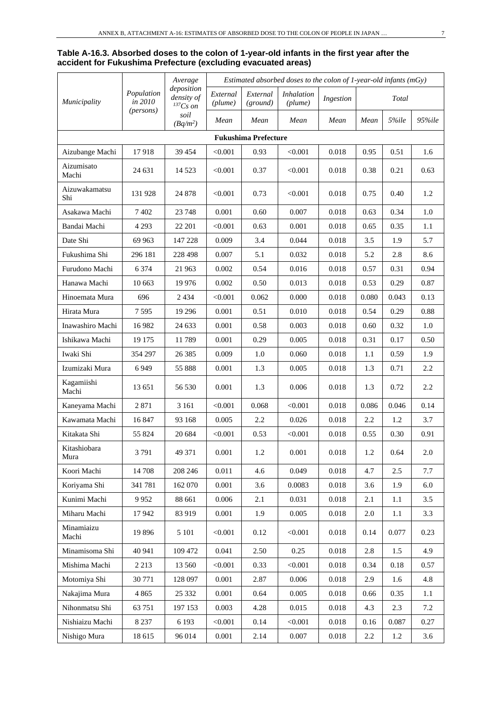#### **Table A-16.3. Absorbed doses to the colon of 1-year-old infants in the first year after the accident for Fukushima Prefecture (excluding evacuated areas)**

|                      |                       | Average                                     |                     | Estimated absorbed doses to the colon of $1$ -year-old infants (mGy) |                              |           |       |         |         |  |  |
|----------------------|-----------------------|---------------------------------------------|---------------------|----------------------------------------------------------------------|------------------------------|-----------|-------|---------|---------|--|--|
| Municipality         | Population<br>in 2010 | deposition<br>density of<br>${}^{137}Cs$ on | External<br>(plume) | External<br>(ground)                                                 | <b>Inhalation</b><br>(plume) | Ingestion |       | Total   |         |  |  |
|                      | (persons)             | soil<br>$(Bq/m^2)$                          | Mean                | Mean                                                                 | Mean                         | Mean      | Mean  | 5%ile   | 95%ile  |  |  |
|                      |                       |                                             |                     | <b>Fukushima Prefecture</b>                                          |                              |           |       |         |         |  |  |
| Aizubange Machi      | 17918                 | 39 4 54                                     | < 0.001             | 0.93                                                                 | < 0.001                      | 0.018     | 0.95  | 0.51    | 1.6     |  |  |
| Aizumisato<br>Machi  | 24 631                | 14 5 23                                     | < 0.001             | 0.37                                                                 | < 0.001                      | 0.018     | 0.38  | 0.21    | 0.63    |  |  |
| Aizuwakamatsu<br>Shi | 131 928               | 24 878                                      | < 0.001             | 0.73                                                                 | < 0.001                      | 0.018     | 0.75  | 0.40    | 1.2     |  |  |
| Asakawa Machi        | 7 4 0 2               | 23 748                                      | 0.001               | 0.60                                                                 | 0.007                        | 0.018     | 0.63  | 0.34    | 1.0     |  |  |
| Bandai Machi         | 4 2 9 3               | 22 201                                      | < 0.001             | 0.63                                                                 | 0.001                        | 0.018     | 0.65  | 0.35    | 1.1     |  |  |
| Date Shi             | 69 963                | 147 228                                     | 0.009               | 3.4                                                                  | 0.044                        | 0.018     | 3.5   | 1.9     | 5.7     |  |  |
| Fukushima Shi        | 296 181               | 228 498                                     | 0.007               | 5.1                                                                  | 0.032                        | 0.018     | 5.2   | 2.8     | 8.6     |  |  |
| Furudono Machi       | 6 3 7 4               | 21 963                                      | 0.002               | 0.54                                                                 | 0.016                        | 0.018     | 0.57  | 0.31    | 0.94    |  |  |
| Hanawa Machi         | 10 663                | 19 9 76                                     | 0.002               | 0.50                                                                 | 0.013                        | 0.018     | 0.53  | 0.29    | 0.87    |  |  |
| Hinoemata Mura       | 696                   | 2434                                        | < 0.001             | 0.062                                                                | 0.000                        | 0.018     | 0.080 | 0.043   | 0.13    |  |  |
| Hirata Mura          | 7595                  | 19 29 6                                     | 0.001               | 0.51                                                                 | 0.010                        | 0.018     | 0.54  | 0.29    | 0.88    |  |  |
| Inawashiro Machi     | 16 9 82               | 24 633                                      | 0.001               | 0.58                                                                 | 0.003                        | 0.018     | 0.60  | 0.32    | 1.0     |  |  |
| Ishikawa Machi       | 19 175                | 11789                                       | 0.001               | 0.29                                                                 | 0.005                        | 0.018     | 0.31  | 0.17    | 0.50    |  |  |
| Iwaki Shi            | 354 297               | 26 3 8 5                                    | 0.009               | 1.0                                                                  | 0.060                        | 0.018     | 1.1   | 0.59    | 1.9     |  |  |
| Izumizaki Mura       | 6949                  | 55 888                                      | 0.001               | 1.3                                                                  | 0.005                        | 0.018     | 1.3   | 0.71    | 2.2     |  |  |
| Kagamiishi<br>Machi  | 13 651                | 56 530                                      | 0.001               | 1.3                                                                  | 0.006                        | 0.018     | 1.3   | 0.72    | 2.2     |  |  |
| Kaneyama Machi       | 2871                  | 3 1 6 1                                     | < 0.001             | 0.068                                                                | < 0.001                      | 0.018     | 0.086 | 0.046   | 0.14    |  |  |
| Kawamata Machi       | 16 847                | 93 168                                      | 0.005               | 2.2                                                                  | 0.026                        | 0.018     | 2.2   | 1.2     | 3.7     |  |  |
| Kitakata Shi         | 55 824                | 20 684                                      | < 0.001             | 0.53                                                                 | < 0.001                      | 0.018     | 0.55  | 0.30    | 0.91    |  |  |
| Kitashiobara<br>Mura | 3791                  | 49 371                                      | 0.001               | 1.2                                                                  | 0.001                        | 0.018     | 1.2   | 0.64    | 2.0     |  |  |
| Koori Machi          | 14 708                | 208 246                                     | 0.011               | 4.6                                                                  | 0.049                        | 0.018     | 4.7   | $2.5\,$ | 7.7     |  |  |
| Koriyama Shi         | 341 781               | 162 070                                     | 0.001               | 3.6                                                                  | 0.0083                       | 0.018     | 3.6   | 1.9     | $6.0\,$ |  |  |
| Kunimi Machi         | 9952                  | 88 661                                      | 0.006               | 2.1                                                                  | 0.031                        | $0.018\,$ | 2.1   | 1.1     | 3.5     |  |  |
| Miharu Machi         | 17942                 | 83 919                                      | 0.001               | 1.9                                                                  | 0.005                        | 0.018     | 2.0   | 1.1     | 3.3     |  |  |
| Minamiaizu<br>Machi  | 19896                 | 5 1 0 1                                     | < 0.001             | 0.12                                                                 | < 0.001                      | 0.018     | 0.14  | 0.077   | 0.23    |  |  |
| Minamisoma Shi       | 40 941                | 109 472                                     | 0.041               | 2.50                                                                 | 0.25                         | 0.018     | 2.8   | 1.5     | 4.9     |  |  |
| Mishima Machi        | 2 2 1 3               | 13 560                                      | < 0.001             | 0.33                                                                 | < 0.001                      | 0.018     | 0.34  | 0.18    | 0.57    |  |  |
| Motomiya Shi         | 30 771                | 128 097                                     | 0.001               | 2.87                                                                 | 0.006                        | 0.018     | 2.9   | 1.6     | 4.8     |  |  |
| Nakajima Mura        | 4 8 6 5               | 25 332                                      | 0.001               | 0.64                                                                 | 0.005                        | 0.018     | 0.66  | 0.35    | 1.1     |  |  |
| Nihonmatsu Shi       | 63 751                | 197 153                                     | 0.003               | 4.28                                                                 | 0.015                        | $0.018\,$ | 4.3   | 2.3     | 7.2     |  |  |
| Nishiaizu Machi      | 8 2 3 7               | 6 1 9 3                                     | < 0.001             | 0.14                                                                 | < 0.001                      | 0.018     | 0.16  | 0.087   | 0.27    |  |  |
| Nishigo Mura         | 18 615                | 96 014                                      | 0.001               | 2.14                                                                 | 0.007                        | 0.018     | 2.2   | 1.2     | 3.6     |  |  |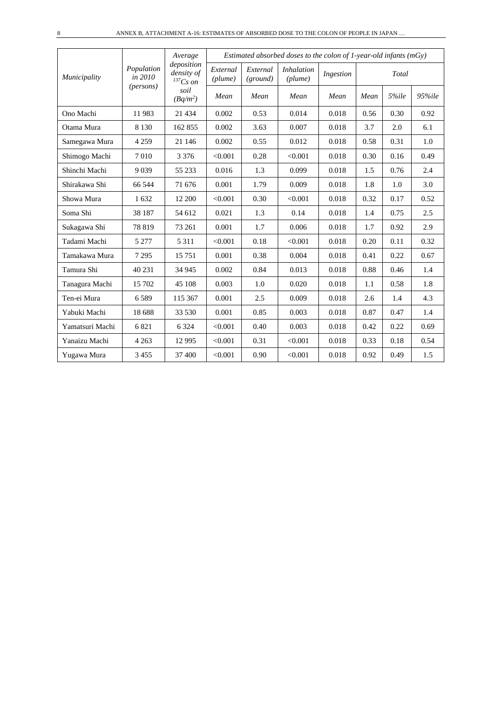|                 |                       | Average<br>deposition       |                     |                      | Estimated absorbed doses to the colon of 1-year-old infants ( $mGy$ ) |           |      |       |        |
|-----------------|-----------------------|-----------------------------|---------------------|----------------------|-----------------------------------------------------------------------|-----------|------|-------|--------|
| Municipality    | Population<br>in 2010 | density of<br>$^{137}Cs$ on | External<br>(plume) | External<br>(ground) | <i>Inhalation</i><br>(plume)                                          | Ingestion |      | Total |        |
|                 | (persons)             | soil<br>$(Bq/m^2)$          | Mean                | Mean                 | Mean                                                                  | Mean      | Mean | 5%ile | 95%ile |
| Ono Machi       | 11983                 | 21 4 34                     | 0.002               | 0.53                 | 0.014                                                                 | 0.018     | 0.56 | 0.30  | 0.92   |
| Otama Mura      | 8 1 3 0               | 162 855                     | 0.002               | 3.63                 | 0.007                                                                 | 0.018     | 3.7  | 2.0   | 6.1    |
| Samegawa Mura   | 4 2 5 9               | 21 14 6                     | 0.002               | 0.55                 | 0.012                                                                 | 0.018     | 0.58 | 0.31  | 1.0    |
| Shimogo Machi   | 7010                  | 3 3 7 6                     | < 0.001             | 0.28                 | < 0.001                                                               | 0.018     | 0.30 | 0.16  | 0.49   |
| Shinchi Machi   | 9 0 3 9               | 55 233                      | 0.016               | 1.3                  | 0.099                                                                 | 0.018     | 1.5  | 0.76  | 2.4    |
| Shirakawa Shi   | 66 544                | 71 676                      | 0.001               | 1.79                 | 0.009                                                                 | 0.018     | 1.8  | 1.0   | 3.0    |
| Showa Mura      | 1632                  | 12 200                      | < 0.001             | 0.30                 | < 0.001                                                               | 0.018     | 0.32 | 0.17  | 0.52   |
| Soma Shi        | 38 187                | 54 612                      | 0.021               | 1.3                  | 0.14                                                                  | 0.018     | 1.4  | 0.75  | 2.5    |
| Sukagawa Shi    | 78 819                | 73 261                      | 0.001               | 1.7                  | 0.006                                                                 | 0.018     | 1.7  | 0.92  | 2.9    |
| Tadami Machi    | 5 2 7 7               | 5 3 1 1                     | < 0.001             | 0.18                 | < 0.001                                                               | 0.018     | 0.20 | 0.11  | 0.32   |
| Tamakawa Mura   | 7 2 9 5               | 15 751                      | 0.001               | 0.38                 | 0.004                                                                 | 0.018     | 0.41 | 0.22  | 0.67   |
| Tamura Shi      | 40 231                | 34 945                      | 0.002               | 0.84                 | 0.013                                                                 | 0.018     | 0.88 | 0.46  | 1.4    |
| Tanagura Machi  | 15 702                | 45 108                      | 0.003               | 1.0                  | 0.020                                                                 | 0.018     | 1.1  | 0.58  | 1.8    |
| Ten-ei Mura     | 6589                  | 115 367                     | 0.001               | 2.5                  | 0.009                                                                 | 0.018     | 2.6  | 1.4   | 4.3    |
| Yabuki Machi    | 18 688                | 33 530                      | 0.001               | 0.85                 | 0.003                                                                 | 0.018     | 0.87 | 0.47  | 1.4    |
| Yamatsuri Machi | 6821                  | 6 3 2 4                     | < 0.001             | 0.40                 | 0.003                                                                 | 0.018     | 0.42 | 0.22  | 0.69   |
| Yanaizu Machi   | 4 2 6 3               | 12 9 95                     | < 0.001             | 0.31                 | < 0.001                                                               | 0.018     | 0.33 | 0.18  | 0.54   |
| Yugawa Mura     | 3 4 5 5               | 37 400                      | < 0.001             | 0.90                 | < 0.001                                                               | 0.018     | 0.92 | 0.49  | 1.5    |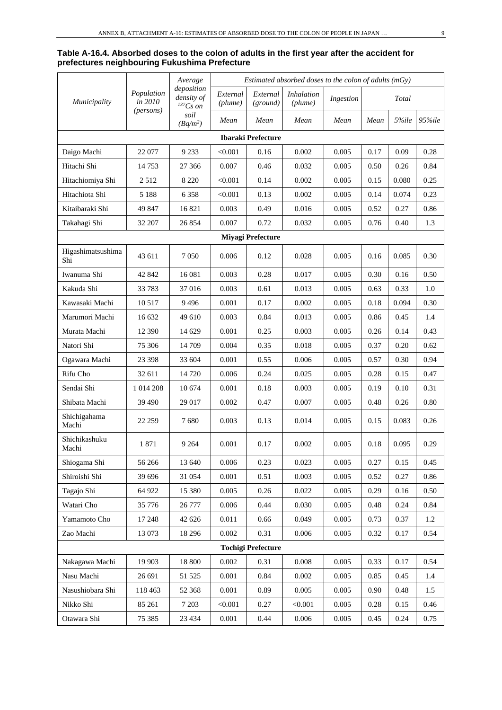#### **Table A-16.4. Absorbed doses to the colon of adults in the first year after the accident for prefectures neighbouring Fukushima Prefecture**

|                          |                       | Average<br>deposition       |                     |                           | Estimated absorbed doses to the colon of adults $(mGy)$ |           |      |       |        |
|--------------------------|-----------------------|-----------------------------|---------------------|---------------------------|---------------------------------------------------------|-----------|------|-------|--------|
| Municipality             | Population<br>in 2010 | density of<br>$^{137}Cs$ on | External<br>(plume) | External<br>(ground)      | <i>Inhalation</i><br>(plume)                            | Ingestion |      | Total |        |
|                          | (persons)             | soil<br>$(Bq/m^2)$          | Mean                | Mean                      | Mean                                                    | Mean      | Mean | 5%ile | 95%ile |
|                          |                       |                             |                     | <b>Ibaraki Prefecture</b> |                                                         |           |      |       |        |
| Daigo Machi              | 22 077                | 9 2 3 3                     | < 0.001             | 0.16                      | 0.002                                                   | 0.005     | 0.17 | 0.09  | 0.28   |
| Hitachi Shi              | 14753                 | 27 36 6                     | 0.007               | 0.46                      | 0.032                                                   | 0.005     | 0.50 | 0.26  | 0.84   |
| Hitachiomiya Shi         | 2512                  | 8 2 2 0                     | < 0.001             | 0.14                      | 0.002                                                   | 0.005     | 0.15 | 0.080 | 0.25   |
| Hitachiota Shi           | 5 1 8 8               | 6 3 5 8                     | < 0.001             | 0.13                      | 0.002                                                   | 0.005     | 0.14 | 0.074 | 0.23   |
| Kitaibaraki Shi          | 49 847                | 16 821                      | 0.003               | 0.49                      | 0.016                                                   | 0.005     | 0.52 | 0.27  | 0.86   |
| Takahagi Shi             | 32 207                | 26 854                      | 0.007               | 0.72                      | 0.032                                                   | 0.005     | 0.76 | 0.40  | 1.3    |
|                          |                       |                             |                     | <b>Miyagi Prefecture</b>  |                                                         |           |      |       |        |
| Higashimatsushima<br>Shi | 43 611                | 7 0 5 0                     | 0.006               | 0.12                      | 0.028                                                   | 0.005     | 0.16 | 0.085 | 0.30   |
| Iwanuma Shi              | 42 842                | 16 081                      | 0.003               | 0.28                      | 0.017                                                   | 0.005     | 0.30 | 0.16  | 0.50   |
| Kakuda Shi               | 33 783                | 37016                       | 0.003               | 0.61                      | 0.013                                                   | 0.005     | 0.63 | 0.33  | 1.0    |
| Kawasaki Machi           | 10 517                | 9496                        | 0.001               | 0.17                      | 0.002                                                   | 0.005     | 0.18 | 0.094 | 0.30   |
| Marumori Machi           | 16 632                | 49 610                      | 0.003               | 0.84                      | 0.013                                                   | 0.005     | 0.86 | 0.45  | 1.4    |
| Murata Machi             | 12 390                | 14 629                      | 0.001               | 0.25                      | 0.003                                                   | 0.005     | 0.26 | 0.14  | 0.43   |
| Natori Shi               | 75 306                | 14 709                      | 0.004               | 0.35                      | 0.018                                                   | 0.005     | 0.37 | 0.20  | 0.62   |
| Ogawara Machi            | 23 398                | 33 604                      | 0.001               | 0.55                      | 0.006                                                   | 0.005     | 0.57 | 0.30  | 0.94   |
| Rifu Cho                 | 32 611                | 14 7 20                     | 0.006               | 0.24                      | 0.025                                                   | 0.005     | 0.28 | 0.15  | 0.47   |
| Sendai Shi               | 1 0 14 2 08           | 10 674                      | 0.001               | 0.18                      | 0.003                                                   | 0.005     | 0.19 | 0.10  | 0.31   |
| Shibata Machi            | 39 490                | 29 017                      | 0.002               | 0.47                      | 0.007                                                   | 0.005     | 0.48 | 0.26  | 0.80   |
| Shichigahama<br>Machi    | 22 259                | 7680                        | 0.003               | 0.13                      | 0.014                                                   | 0.005     | 0.15 | 0.083 | 0.26   |
| Shichikashuku<br>Machi   | 1871                  | 9 2 6 4                     | 0.001               | 0.17                      | 0.002                                                   | 0.005     | 0.18 | 0.095 | 0.29   |
| Shiogama Shi             | 56 266                | 13 640                      | 0.006               | 0.23                      | 0.023                                                   | 0.005     | 0.27 | 0.15  | 0.45   |
| Shiroishi Shi            | 39 696                | 31 054                      | 0.001               | 0.51                      | 0.003                                                   | 0.005     | 0.52 | 0.27  | 0.86   |
| Tagajo Shi               | 64 922                | 15 380                      | 0.005               | 0.26                      | 0.022                                                   | 0.005     | 0.29 | 0.16  | 0.50   |
| Watari Cho               | 35 776                | 26 777                      | 0.006               | 0.44                      | 0.030                                                   | 0.005     | 0.48 | 0.24  | 0.84   |
| Yamamoto Cho             | 17 248                | 42 626                      | 0.011               | 0.66                      | 0.049                                                   | 0.005     | 0.73 | 0.37  | 1.2    |
| Zao Machi                | 13 073                | 18 29 6                     | 0.002               | 0.31                      | 0.006                                                   | 0.005     | 0.32 | 0.17  | 0.54   |
|                          |                       |                             |                     | <b>Tochigi Prefecture</b> |                                                         |           |      |       |        |
| Nakagawa Machi           | 19 903                | 18 800                      | 0.002               | 0.31                      | $0.008\,$                                               | 0.005     | 0.33 | 0.17  | 0.54   |
| Nasu Machi               | 26 691                | 51 525                      | 0.001               | 0.84                      | 0.002                                                   | 0.005     | 0.85 | 0.45  | 1.4    |
| Nasushiobara Shi         | 118 463               | 52 368                      | 0.001               | 0.89                      | 0.005                                                   | 0.005     | 0.90 | 0.48  | 1.5    |
| Nikko Shi                | 85 261                | 7 2 0 3                     | < 0.001             | 0.27                      | < 0.001                                                 | 0.005     | 0.28 | 0.15  | 0.46   |
| Otawara Shi              | 75 385                | 23 4 34                     | 0.001               | 0.44                      | 0.006                                                   | 0.005     | 0.45 | 0.24  | 0.75   |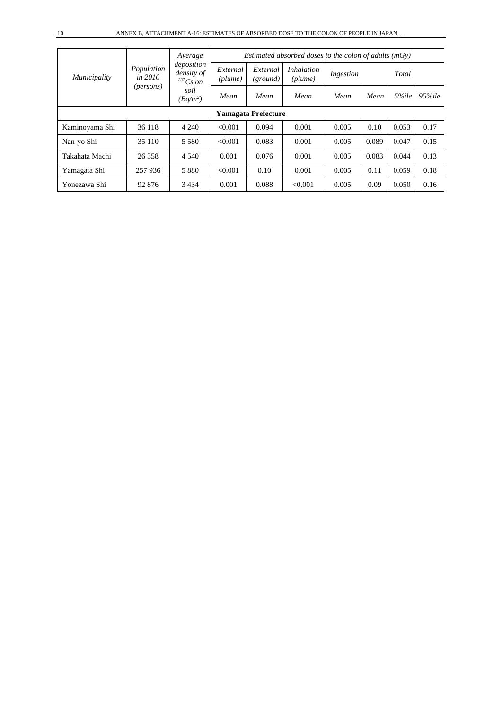|                            |                                                    | Average                                   | Estimated absorbed doses to the colon of adults $(mGv)$ |                      |                              |           |       |       |            |  |  |  |
|----------------------------|----------------------------------------------------|-------------------------------------------|---------------------------------------------------------|----------------------|------------------------------|-----------|-------|-------|------------|--|--|--|
| Municipality               | Population<br><i>in 2010</i><br>( <i>persons</i> ) | deposition<br>density of<br>$^{137}Cs$ on | External<br>(plume)                                     | External<br>(ground) | <i>Inhalation</i><br>(plume) | Ingestion |       | Total |            |  |  |  |
|                            |                                                    | soil<br>$(Bq/m^2)$                        | Mean                                                    | Mean                 | Mean                         | Mean      | Mean  | 5%ile | $95\%$ ile |  |  |  |
| <b>Yamagata Prefecture</b> |                                                    |                                           |                                                         |                      |                              |           |       |       |            |  |  |  |
| Kaminoyama Shi             | 36 118                                             | 4 2 4 0                                   | < 0.001                                                 | 0.094                | 0.001                        | 0.005     | 0.10  | 0.053 | 0.17       |  |  |  |
| Nan-yo Shi                 | 35 110                                             | 5 5 8 0                                   | < 0.001                                                 | 0.083                | 0.001                        | 0.005     | 0.089 | 0.047 | 0.15       |  |  |  |
| Takahata Machi             | 26 358                                             | 4 5 4 0                                   | 0.001                                                   | 0.076                | 0.001                        | 0.005     | 0.083 | 0.044 | 0.13       |  |  |  |
| Yamagata Shi               | 257 936                                            | 5 8 8 0                                   | < 0.001                                                 | 0.10                 | 0.001                        | 0.005     | 0.11  | 0.059 | 0.18       |  |  |  |
| Yonezawa Shi               | 92 876                                             | 3 4 3 4                                   | 0.001                                                   | 0.088                | < 0.001                      | 0.005     | 0.09  | 0.050 | 0.16       |  |  |  |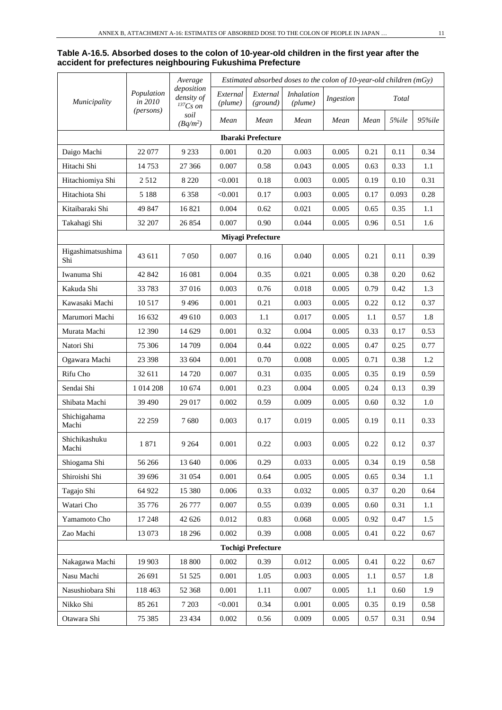#### **Table A-16.5. Absorbed doses to the colon of 10-year-old children in the first year after the accident for prefectures neighbouring Fukushima Prefecture**

|                          |                                    | Average                                   | Estimated absorbed doses to the colon of 10-year-old children (mGy) |                           |                       |           |      |       |        |  |
|--------------------------|------------------------------------|-------------------------------------------|---------------------------------------------------------------------|---------------------------|-----------------------|-----------|------|-------|--------|--|
| Municipality             | Population<br>in 2010<br>(persons) | deposition<br>density of<br>$^{137}Cs$ on | External<br>(plume)                                                 | External<br>(ground)      | Inhalation<br>(plume) | Ingestion |      | Total |        |  |
|                          |                                    | soil<br>$(Bq/m^2)$                        | Mean                                                                | Mean                      | Mean                  | Mean      | Mean | 5%ile | 95%ile |  |
|                          |                                    |                                           |                                                                     | <b>Ibaraki Prefecture</b> |                       |           |      |       |        |  |
| Daigo Machi              | 22 077                             | 9 2 3 3                                   | 0.001                                                               | 0.20                      | 0.003                 | 0.005     | 0.21 | 0.11  | 0.34   |  |
| Hitachi Shi              | 14 753                             | 27 36 6                                   | 0.007                                                               | 0.58                      | 0.043                 | 0.005     | 0.63 | 0.33  | 1.1    |  |
| Hitachiomiya Shi         | 2512                               | 8 2 2 0                                   | < 0.001                                                             | 0.18                      | 0.003                 | 0.005     | 0.19 | 0.10  | 0.31   |  |
| Hitachiota Shi           | 5 1 8 8                            | 6 3 5 8                                   | < 0.001                                                             | 0.17                      | 0.003                 | 0.005     | 0.17 | 0.093 | 0.28   |  |
| Kitaibaraki Shi          | 49 847                             | 16 821                                    | 0.004                                                               | 0.62                      | 0.021                 | 0.005     | 0.65 | 0.35  | 1.1    |  |
| Takahagi Shi             | 32 207                             | 26 854                                    | 0.007                                                               | 0.90                      | 0.044                 | 0.005     | 0.96 | 0.51  | 1.6    |  |
|                          |                                    |                                           |                                                                     | <b>Miyagi Prefecture</b>  |                       |           |      |       |        |  |
| Higashimatsushima<br>Shi | 43 611                             | 7 0 5 0                                   | 0.007                                                               | 0.16                      | 0.040                 | 0.005     | 0.21 | 0.11  | 0.39   |  |
| Iwanuma Shi              | 42 842                             | 16 08 1                                   | 0.004                                                               | 0.35                      | 0.021                 | 0.005     | 0.38 | 0.20  | 0.62   |  |
| Kakuda Shi               | 33 783                             | 37 016                                    | 0.003                                                               | 0.76                      | 0.018                 | 0.005     | 0.79 | 0.42  | 1.3    |  |
| Kawasaki Machi           | 10 5 17                            | 9 4 9 6                                   | 0.001                                                               | 0.21                      | 0.003                 | 0.005     | 0.22 | 0.12  | 0.37   |  |
| Marumori Machi           | 16 632                             | 49 610                                    | 0.003                                                               | 1.1                       | 0.017                 | 0.005     | 1.1  | 0.57  | 1.8    |  |
| Murata Machi             | 12 390                             | 14 629                                    | 0.001                                                               | 0.32                      | 0.004                 | 0.005     | 0.33 | 0.17  | 0.53   |  |
| Natori Shi               | 75 30 6                            | 14 709                                    | 0.004                                                               | 0.44                      | 0.022                 | 0.005     | 0.47 | 0.25  | 0.77   |  |
| Ogawara Machi            | 23 3 98                            | 33 604                                    | 0.001                                                               | 0.70                      | 0.008                 | 0.005     | 0.71 | 0.38  | 1.2    |  |
| Rifu Cho                 | 32 611                             | 14 720                                    | 0.007                                                               | 0.31                      | 0.035                 | 0.005     | 0.35 | 0.19  | 0.59   |  |
| Sendai Shi               | 1 014 208                          | 10 674                                    | 0.001                                                               | 0.23                      | 0.004                 | 0.005     | 0.24 | 0.13  | 0.39   |  |
| Shibata Machi            | 39 490                             | 29 017                                    | 0.002                                                               | 0.59                      | 0.009                 | 0.005     | 0.60 | 0.32  | 1.0    |  |
| Shichigahama<br>Machi    | 22 259                             | 7680                                      | 0.003                                                               | 0.17                      | 0.019                 | 0.005     | 0.19 | 0.11  | 0.33   |  |
| Shichikashuku<br>Machi   | 1871                               | 9 2 6 4                                   | 0.001                                                               | 0.22                      | 0.003                 | 0.005     | 0.22 | 0.12  | 0.37   |  |
| Shiogama Shi             | 56 266                             | 13 640                                    | 0.006                                                               | 0.29                      | 0.033                 | 0.005     | 0.34 | 0.19  | 0.58   |  |
| Shiroishi Shi            | 39 696                             | 31 054                                    | 0.001                                                               | 0.64                      | 0.005                 | 0.005     | 0.65 | 0.34  | 1.1    |  |
| Tagajo Shi               | 64 922                             | 15 380                                    | 0.006                                                               | 0.33                      | 0.032                 | 0.005     | 0.37 | 0.20  | 0.64   |  |
| Watari Cho               | 35 776                             | 26 777                                    | 0.007                                                               | 0.55                      | 0.039                 | 0.005     | 0.60 | 0.31  | 1.1    |  |
| Yamamoto Cho             | 17 248                             | 42 626                                    | 0.012                                                               | 0.83                      | 0.068                 | 0.005     | 0.92 | 0.47  | 1.5    |  |
| Zao Machi                | 13 073                             | 18 29 6                                   | 0.002                                                               | 0.39                      | 0.008                 | 0.005     | 0.41 | 0.22  | 0.67   |  |
|                          |                                    |                                           |                                                                     | <b>Tochigi Prefecture</b> |                       |           |      |       |        |  |
| Nakagawa Machi           | 19 903                             | 18 800                                    | 0.002                                                               | 0.39                      | 0.012                 | 0.005     | 0.41 | 0.22  | 0.67   |  |
| Nasu Machi               | 26 691                             | 51 525                                    | 0.001                                                               | 1.05                      | 0.003                 | 0.005     | 1.1  | 0.57  | 1.8    |  |
| Nasushiobara Shi         | 118 463                            | 52 368                                    | 0.001                                                               | 1.11                      | 0.007                 | 0.005     | 1.1  | 0.60  | 1.9    |  |
| Nikko Shi                | 85 261                             | 7 2 0 3                                   | < 0.001                                                             | 0.34                      | 0.001                 | 0.005     | 0.35 | 0.19  | 0.58   |  |
| Otawara Shi              | 75 385                             | 23 4 34                                   | 0.002                                                               | 0.56                      | 0.009                 | 0.005     | 0.57 | 0.31  | 0.94   |  |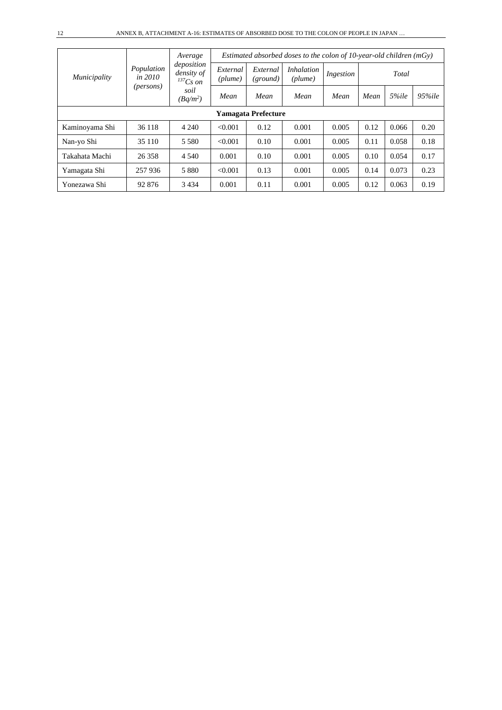|                            | Population<br>in $2010$<br>(persons) | Average<br>deposition<br>density of<br>$^{137}Cs$ on | Estimated absorbed doses to the colon of 10-year-old children $(mGv)$ |                      |                              |           |      |       |            |  |  |  |
|----------------------------|--------------------------------------|------------------------------------------------------|-----------------------------------------------------------------------|----------------------|------------------------------|-----------|------|-------|------------|--|--|--|
| <i>Municipality</i>        |                                      |                                                      | External<br>(plume)                                                   | External<br>(ground) | <i>Inhalation</i><br>(plume) | Ingestion |      | Total |            |  |  |  |
|                            |                                      | soil<br>$(Bq/m^2)$                                   | Mean                                                                  | Mean                 | Mean                         | Mean      | Mean | 5%ile | $95\%$ ile |  |  |  |
| <b>Yamagata Prefecture</b> |                                      |                                                      |                                                                       |                      |                              |           |      |       |            |  |  |  |
| Kaminoyama Shi             | 36 118                               | 4 2 4 0                                              | < 0.001                                                               | 0.12                 | 0.001                        | 0.005     | 0.12 | 0.066 | 0.20       |  |  |  |
| Nan-yo Shi                 | 35 110                               | 5 5 8 0                                              | < 0.001                                                               | 0.10                 | 0.001                        | 0.005     | 0.11 | 0.058 | 0.18       |  |  |  |
| Takahata Machi             | 26 3 5 8                             | 4 5 4 0                                              | 0.001                                                                 | 0.10                 | 0.001                        | 0.005     | 0.10 | 0.054 | 0.17       |  |  |  |
| Yamagata Shi               | 257936                               | 5 8 8 0                                              | < 0.001                                                               | 0.13                 | 0.001                        | 0.005     | 0.14 | 0.073 | 0.23       |  |  |  |
| Yonezawa Shi               | 92 876                               | 3 4 3 4                                              | 0.001                                                                 | 0.11                 | 0.001                        | 0.005     | 0.12 | 0.063 | 0.19       |  |  |  |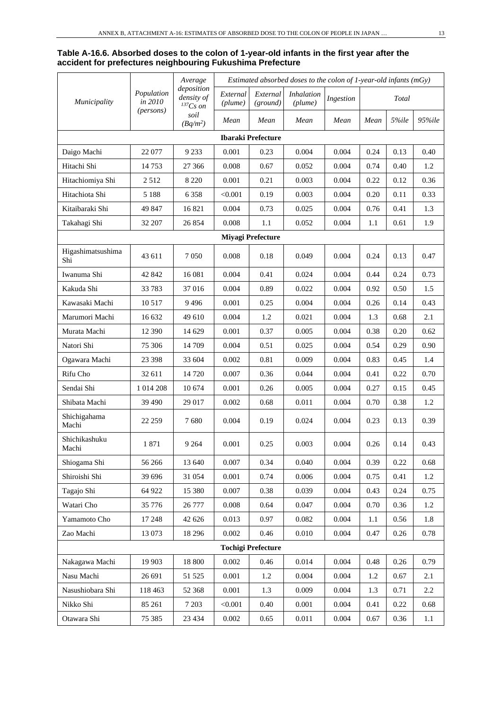#### **Table A-16.6. Absorbed doses to the colon of 1-year-old infants in the first year after the accident for prefectures neighbouring Fukushima Prefecture**

|                          |                       | Average                                     | Estimated absorbed doses to the colon of $1$ -year-old infants (mGy) |                           |                              |           |      |       |        |  |
|--------------------------|-----------------------|---------------------------------------------|----------------------------------------------------------------------|---------------------------|------------------------------|-----------|------|-------|--------|--|
| <i>Municipality</i>      | Population<br>in 2010 | deposition<br>density of<br>${}^{137}Cs$ on | External<br>(plume)                                                  | External<br>(ground)      | <i>Inhalation</i><br>(plume) | Ingestion |      | Total |        |  |
|                          | (persons)             | soil<br>$(Bq/m^2)$                          | Mean                                                                 | Mean                      | Mean                         | Mean      | Mean | 5%ile | 95%ile |  |
|                          |                       |                                             |                                                                      | <b>Ibaraki Prefecture</b> |                              |           |      |       |        |  |
| Daigo Machi              | 22 077                | 9 2 3 3                                     | 0.001                                                                | 0.23                      | 0.004                        | 0.004     | 0.24 | 0.13  | 0.40   |  |
| Hitachi Shi              | 14753                 | 27 36 6                                     | 0.008                                                                | 0.67                      | 0.052                        | 0.004     | 0.74 | 0.40  | 1.2    |  |
| Hitachiomiya Shi         | 2512                  | 8 2 2 0                                     | 0.001                                                                | 0.21                      | 0.003                        | 0.004     | 0.22 | 0.12  | 0.36   |  |
| Hitachiota Shi           | 5 1 8 8               | 6 3 5 8                                     | < 0.001                                                              | 0.19                      | 0.003                        | 0.004     | 0.20 | 0.11  | 0.33   |  |
| Kitaibaraki Shi          | 49 847                | 16821                                       | 0.004                                                                | 0.73                      | 0.025                        | 0.004     | 0.76 | 0.41  | 1.3    |  |
| Takahagi Shi             | 32 207                | 26 854                                      | 0.008                                                                | 1.1                       | 0.052                        | 0.004     | 1.1  | 0.61  | 1.9    |  |
|                          |                       |                                             |                                                                      | <b>Miyagi Prefecture</b>  |                              |           |      |       |        |  |
| Higashimatsushima<br>Shi | 43 611                | 7 0 5 0                                     | 0.008                                                                | 0.18                      | 0.049                        | 0.004     | 0.24 | 0.13  | 0.47   |  |
| Iwanuma Shi              | 42 842                | 16 08 1                                     | 0.004                                                                | 0.41                      | 0.024                        | 0.004     | 0.44 | 0.24  | 0.73   |  |
| Kakuda Shi               | 33 783                | 37016                                       | 0.004                                                                | 0.89                      | 0.022                        | 0.004     | 0.92 | 0.50  | 1.5    |  |
| Kawasaki Machi           | 10 5 17               | 9496                                        | 0.001                                                                | 0.25                      | 0.004                        | 0.004     | 0.26 | 0.14  | 0.43   |  |
| Marumori Machi           | 16 632                | 49 610                                      | 0.004                                                                | 1.2                       | 0.021                        | 0.004     | 1.3  | 0.68  | 2.1    |  |
| Murata Machi             | 12 390                | 14 629                                      | 0.001                                                                | 0.37                      | 0.005                        | 0.004     | 0.38 | 0.20  | 0.62   |  |
| Natori Shi               | 75 30 6               | 14 709                                      | 0.004                                                                | 0.51                      | 0.025                        | 0.004     | 0.54 | 0.29  | 0.90   |  |
| Ogawara Machi            | 23 3 98               | 33 604                                      | 0.002                                                                | $0.81\,$                  | 0.009                        | 0.004     | 0.83 | 0.45  | 1.4    |  |
| Rifu Cho                 | 32 611                | 14 720                                      | 0.007                                                                | 0.36                      | 0.044                        | 0.004     | 0.41 | 0.22  | 0.70   |  |
| Sendai Shi               | 1 0 1 4 2 0 8         | 10 674                                      | 0.001                                                                | 0.26                      | 0.005                        | 0.004     | 0.27 | 0.15  | 0.45   |  |
| Shibata Machi            | 39 490                | 29 017                                      | 0.002                                                                | 0.68                      | 0.011                        | 0.004     | 0.70 | 0.38  | 1.2    |  |
| Shichigahama<br>Machi    | 22 25 9               | 7680                                        | 0.004                                                                | 0.19                      | 0.024                        | 0.004     | 0.23 | 0.13  | 0.39   |  |
| Shichikashuku<br>Machi   | 1871                  | 9 2 6 4                                     | 0.001                                                                | 0.25                      | 0.003                        | 0.004     | 0.26 | 0.14  | 0.43   |  |
| Shiogama Shi             | 56 266                | 13 640                                      | 0.007                                                                | 0.34                      | 0.040                        | 0.004     | 0.39 | 0.22  | 0.68   |  |
| Shiroishi Shi            | 39 696                | 31 054                                      | 0.001                                                                | 0.74                      | 0.006                        | 0.004     | 0.75 | 0.41  | 1.2    |  |
| Tagajo Shi               | 64 922                | 15 380                                      | 0.007                                                                | 0.38                      | 0.039                        | 0.004     | 0.43 | 0.24  | 0.75   |  |
| Watari Cho               | 35 776                | 26 777                                      | 0.008                                                                | 0.64                      | 0.047                        | 0.004     | 0.70 | 0.36  | 1.2    |  |
| Yamamoto Cho             | 17 248                | 42 626                                      | 0.013                                                                | 0.97                      | 0.082                        | 0.004     | 1.1  | 0.56  | 1.8    |  |
| Zao Machi                | 13 073                | 18 29 6                                     | 0.002                                                                | 0.46                      | 0.010                        | 0.004     | 0.47 | 0.26  | 0.78   |  |
|                          |                       |                                             |                                                                      | <b>Tochigi Prefecture</b> |                              |           |      |       |        |  |
| Nakagawa Machi           | 19 903                | 18 800                                      | 0.002                                                                | 0.46                      | 0.014                        | 0.004     | 0.48 | 0.26  | 0.79   |  |
| Nasu Machi               | 26 691                | 51 525                                      | 0.001                                                                | 1.2                       | 0.004                        | 0.004     | 1.2  | 0.67  | 2.1    |  |
| Nasushiobara Shi         | 118 463               | 52 368                                      | 0.001                                                                | 1.3                       | 0.009                        | 0.004     | 1.3  | 0.71  | 2.2    |  |
| Nikko Shi                | 85 261                | 7 2 0 3                                     | < 0.001                                                              | 0.40                      | 0.001                        | 0.004     | 0.41 | 0.22  | 0.68   |  |
| Otawara Shi              | 75 385                | 23 4 34                                     | 0.002                                                                | 0.65                      | 0.011                        | 0.004     | 0.67 | 0.36  | 1.1    |  |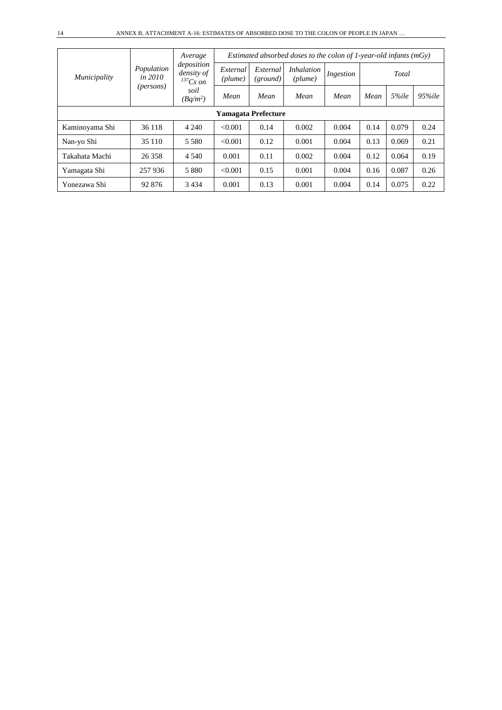|                            |                         | Average                                   |                     |                      | Estimated absorbed doses to the colon of 1-year-old infants $(mGy)$ |           |               |       |        |  |  |  |
|----------------------------|-------------------------|-------------------------------------------|---------------------|----------------------|---------------------------------------------------------------------|-----------|---------------|-------|--------|--|--|--|
| <i>Municipality</i>        | Population<br>in $2010$ | deposition<br>density of<br>$^{137}Cs$ on | External<br>(plume) | External<br>(ground) | <i>Inhalation</i><br>(plume)                                        | Ingestion |               | Total | 95%ile |  |  |  |
|                            | ( <i>persons</i> )      | soil<br>$(Bq/m^2)$                        | Mean                | Mean                 | Mean                                                                | Mean      | 5%ile<br>Mean |       |        |  |  |  |
| <b>Yamagata Prefecture</b> |                         |                                           |                     |                      |                                                                     |           |               |       |        |  |  |  |
| Kaminoyama Shi             | 36 118                  | 4 2 4 0                                   | < 0.001             | 0.14                 | 0.002                                                               | 0.004     | 0.14          | 0.079 | 0.24   |  |  |  |
| Nan-yo Shi                 | 35 110                  | 5 5 8 0                                   | < 0.001             | 0.12                 | 0.001                                                               | 0.004     | 0.13          | 0.069 | 0.21   |  |  |  |
| Takahata Machi             | 26 358                  | 4 5 4 0                                   | 0.001               | 0.11                 | 0.002                                                               | 0.004     | 0.12          | 0.064 | 0.19   |  |  |  |
| Yamagata Shi               | 257936                  | 5 8 8 0                                   | < 0.001             | 0.15                 | 0.001                                                               | 0.004     | 0.16          | 0.087 | 0.26   |  |  |  |
| Yonezawa Shi               | 92 876                  | 3434                                      | 0.001               | 0.13                 | 0.001                                                               | 0.004     | 0.14          | 0.075 | 0.22   |  |  |  |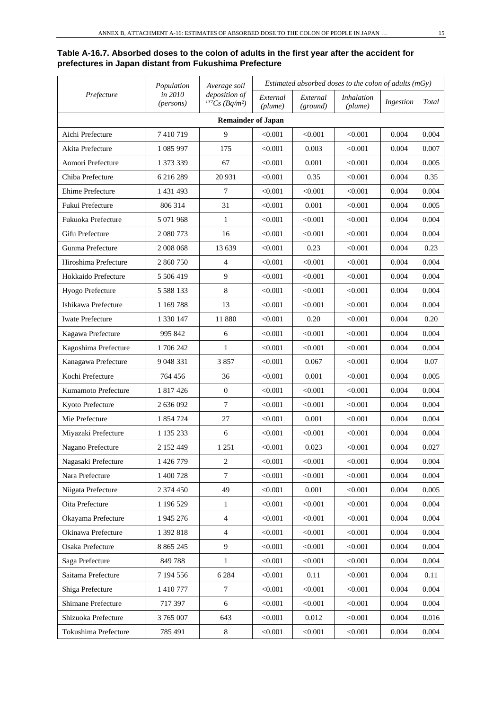## **Table A-16.7. Absorbed doses to the colon of adults in the first year after the accident for prefectures in Japan distant from Fukushima Prefecture**

|                         | Population           | Average soil                                     |                     |                      | Estimated absorbed doses to the colon of adults $(mGy)$ |           |       |
|-------------------------|----------------------|--------------------------------------------------|---------------------|----------------------|---------------------------------------------------------|-----------|-------|
| Prefecture              | in 2010<br>(persons) | deposition of<br>$^{137}Cs$ (Bq/m <sup>2</sup> ) | External<br>(plume) | External<br>(ground) | <i>Inhalation</i><br>(plume)                            | Ingestion | Total |
|                         |                      | <b>Remainder of Japan</b>                        |                     |                      |                                                         |           |       |
| Aichi Prefecture        | 7410719              | 9                                                | < 0.001             | < 0.001              | < 0.001                                                 | 0.004     | 0.004 |
| Akita Prefecture        | 1 085 997            | 175                                              | < 0.001             | 0.003                | < 0.001                                                 | 0.004     | 0.007 |
| Aomori Prefecture       | 1 373 339            | 67                                               | < 0.001             | 0.001                | < 0.001                                                 | 0.004     | 0.005 |
| Chiba Prefecture        | 6 216 289            | 20 931                                           | < 0.001             | 0.35                 | < 0.001                                                 | 0.004     | 0.35  |
| <b>Ehime Prefecture</b> | 1 431 493            | $\overline{7}$                                   | < 0.001             | < 0.001              | < 0.001                                                 | 0.004     | 0.004 |
| Fukui Prefecture        | 806 314              | 31                                               | < 0.001             | 0.001                | < 0.001                                                 | 0.004     | 0.005 |
| Fukuoka Prefecture      | 5 071 968            | $\mathbf{1}$                                     | < 0.001             | < 0.001              | < 0.001                                                 | 0.004     | 0.004 |
| Gifu Prefecture         | 2 080 773            | 16                                               | < 0.001             | < 0.001              | < 0.001                                                 | 0.004     | 0.004 |
| Gunma Prefecture        | 2 008 068            | 13 639                                           | < 0.001             | 0.23                 | < 0.001                                                 | 0.004     | 0.23  |
| Hiroshima Prefecture    | 2 860 750            | $\overline{4}$                                   | < 0.001             | < 0.001              | < 0.001                                                 | 0.004     | 0.004 |
| Hokkaido Prefecture     | 5 506 419            | 9                                                | < 0.001             | < 0.001              | < 0.001                                                 | 0.004     | 0.004 |
| Hyogo Prefecture        | 5 5 8 1 3 3          | $\,8\,$                                          | < 0.001             | < 0.001              | < 0.001                                                 | 0.004     | 0.004 |
| Ishikawa Prefecture     | 1 1 69 7 88          | 13                                               | < 0.001             | < 0.001              | < 0.001                                                 | 0.004     | 0.004 |
| <b>Iwate Prefecture</b> | 1 330 147            | 11 880                                           | < 0.001             | 0.20                 | < 0.001                                                 | 0.004     | 0.20  |
| Kagawa Prefecture       | 995 842              | 6                                                | < 0.001             | < 0.001              | < 0.001                                                 | 0.004     | 0.004 |
| Kagoshima Prefecture    | 1706242              | 1                                                | < 0.001             | < 0.001              | < 0.001                                                 | 0.004     | 0.004 |
| Kanagawa Prefecture     | 9 048 331            | 3857                                             | < 0.001             | 0.067                | < 0.001                                                 | 0.004     | 0.07  |
| Kochi Prefecture        | 764 456              | 36                                               | < 0.001             | 0.001                | < 0.001                                                 | 0.004     | 0.005 |
| Kumamoto Prefecture     | 1 817 426            | $\boldsymbol{0}$                                 | < 0.001             | < 0.001              | < 0.001                                                 | 0.004     | 0.004 |
| Kyoto Prefecture        | 2 636 092            | $\overline{7}$                                   | < 0.001             | < 0.001              | < 0.001                                                 | 0.004     | 0.004 |
| Mie Prefecture          | 1 854 724            | 27                                               | < 0.001             | 0.001                | < 0.001                                                 | 0.004     | 0.004 |
| Miyazaki Prefecture     | 1 135 233            | 6                                                | < 0.001             | < 0.001              | < 0.001                                                 | 0.004     | 0.004 |
| Nagano Prefecture       | 2 152 449            | 1 2 5 1                                          | < 0.001             | 0.023                | < 0.001                                                 | 0.004     | 0.027 |
| Nagasaki Prefecture     | 1 426 779            | $\sqrt{2}$                                       | < 0.001             | < 0.001              | < 0.001                                                 | 0.004     | 0.004 |
| Nara Prefecture         | 1 400 728            | $\tau$                                           | < 0.001             | < 0.001              | < 0.001                                                 | 0.004     | 0.004 |
| Niigata Prefecture      | 2 374 450            | 49                                               | < 0.001             | 0.001                | < 0.001                                                 | 0.004     | 0.005 |
| Oita Prefecture         | 1 196 529            | 1                                                | < 0.001             | < 0.001              | < 0.001                                                 | 0.004     | 0.004 |
| Okayama Prefecture      | 1 945 276            | $\overline{4}$                                   | < 0.001             | < 0.001              | < 0.001                                                 | 0.004     | 0.004 |
| Okinawa Prefecture      | 1 392 818            | $\overline{4}$                                   | < 0.001             | < 0.001              | < 0.001                                                 | 0.004     | 0.004 |
| Osaka Prefecture        | 8 8 6 5 2 4 5        | 9                                                | < 0.001             | < 0.001              | < 0.001                                                 | 0.004     | 0.004 |
| Saga Prefecture         | 849 788              | $\mathbf{1}$                                     | < 0.001             | < 0.001              | < 0.001                                                 | 0.004     | 0.004 |
| Saitama Prefecture      | 7 194 556            | 6 2 8 4                                          | < 0.001             | $0.11\,$             | < 0.001                                                 | 0.004     | 0.11  |
| Shiga Prefecture        | 1 410 777            | $\tau$                                           | < 0.001             | < 0.001              | < 0.001                                                 | 0.004     | 0.004 |
| Shimane Prefecture      | 717 397              | 6                                                | < 0.001             | < 0.001              | < 0.001                                                 | 0.004     | 0.004 |
| Shizuoka Prefecture     | 3 765 007            | 643                                              | < 0.001             | 0.012                | < 0.001                                                 | 0.004     | 0.016 |
| Tokushima Prefecture    | 785 491              | $\,8\,$                                          | < 0.001             | < 0.001              | < 0.001                                                 | 0.004     | 0.004 |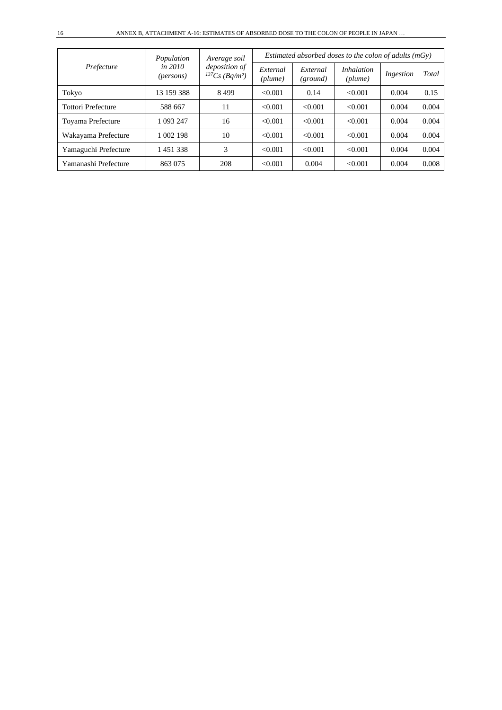| Prefecture                | Population                      | Average soil                                     |                     |                      | Estimated absorbed doses to the colon of adults $(mGv)$ |           |       |  |  |
|---------------------------|---------------------------------|--------------------------------------------------|---------------------|----------------------|---------------------------------------------------------|-----------|-------|--|--|
|                           | in $2010$<br>( <i>persons</i> ) | deposition of<br>$^{137}Cs$ (Bq/m <sup>2</sup> ) | External<br>(plume) | External<br>(ground) | <i>Inhalation</i><br>(plume)                            | Ingestion | Total |  |  |
| Tokyo                     | 13 159 388                      | 8499                                             | < 0.001             | 0.14                 | < 0.001                                                 | 0.004     | 0.15  |  |  |
| <b>Tottori Prefecture</b> | 588 667                         | 11                                               | < 0.001             | < 0.001              | < 0.001                                                 | 0.004     | 0.004 |  |  |
| Toyama Prefecture         | 1 093 247                       | 16                                               | < 0.001             | < 0.001              | < 0.001                                                 | 0.004     | 0.004 |  |  |
| Wakayama Prefecture       | 1 002 198                       | 10                                               | < 0.001             | < 0.001              | < 0.001                                                 | 0.004     | 0.004 |  |  |
| Yamaguchi Prefecture      | 1451338                         | 3                                                | < 0.001             | < 0.001              | < 0.001                                                 | 0.004     | 0.004 |  |  |
| Yamanashi Prefecture      | 863 075                         | 208                                              | < 0.001             | 0.004                | < 0.001                                                 | 0.004     | 0.008 |  |  |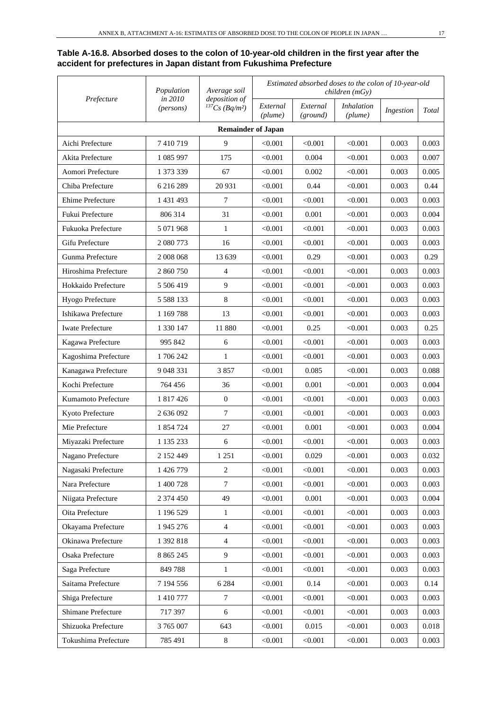## **Table A-16.8. Absorbed doses to the colon of 10-year-old children in the first year after the accident for prefectures in Japan distant from Fukushima Prefecture**

| Prefecture              | Population           | Average soil<br>deposition of<br>${}^{137}Cs$ (Bq/m <sup>2</sup> ) | Estimated absorbed doses to the colon of 10-year-old<br>children(mGy) |                      |                              |           |       |
|-------------------------|----------------------|--------------------------------------------------------------------|-----------------------------------------------------------------------|----------------------|------------------------------|-----------|-------|
|                         | in 2010<br>(persons) |                                                                    | External<br>(plume)                                                   | External<br>(ground) | <i>Inhalation</i><br>(plume) | Ingestion | Total |
|                         |                      | <b>Remainder of Japan</b>                                          |                                                                       |                      |                              |           |       |
| Aichi Prefecture        | 7410719              | 9                                                                  | < 0.001                                                               | < 0.001              | < 0.001                      | 0.003     | 0.003 |
| Akita Prefecture        | 1 085 997            | 175                                                                | < 0.001                                                               | 0.004                | < 0.001                      | 0.003     | 0.007 |
| Aomori Prefecture       | 1 373 339            | 67                                                                 | < 0.001                                                               | 0.002                | < 0.001                      | 0.003     | 0.005 |
| Chiba Prefecture        | 6 216 289            | 20 931                                                             | < 0.001                                                               | 0.44                 | < 0.001                      | 0.003     | 0.44  |
| Ehime Prefecture        | 1 431 493            | 7                                                                  | < 0.001                                                               | < 0.001              | < 0.001                      | 0.003     | 0.003 |
| Fukui Prefecture        | 806 314              | 31                                                                 | < 0.001                                                               | 0.001                | < 0.001                      | 0.003     | 0.004 |
| Fukuoka Prefecture      | 5 071 968            | 1                                                                  | < 0.001                                                               | < 0.001              | < 0.001                      | 0.003     | 0.003 |
| Gifu Prefecture         | 2 080 773            | 16                                                                 | < 0.001                                                               | < 0.001              | < 0.001                      | 0.003     | 0.003 |
| Gunma Prefecture        | 2008068              | 13 639                                                             | < 0.001                                                               | 0.29                 | < 0.001                      | 0.003     | 0.29  |
| Hiroshima Prefecture    | 2 860 750            | $\overline{4}$                                                     | < 0.001                                                               | < 0.001              | < 0.001                      | 0.003     | 0.003 |
| Hokkaido Prefecture     | 5 506 419            | 9                                                                  | < 0.001                                                               | < 0.001              | < 0.001                      | 0.003     | 0.003 |
| Hyogo Prefecture        | 5 5 8 8 1 3 3        | 8                                                                  | < 0.001                                                               | < 0.001              | < 0.001                      | 0.003     | 0.003 |
| Ishikawa Prefecture     | 1 169 788            | 13                                                                 | < 0.001                                                               | < 0.001              | < 0.001                      | 0.003     | 0.003 |
| <b>Iwate Prefecture</b> | 1 330 147            | 11 880                                                             | < 0.001                                                               | 0.25                 | < 0.001                      | 0.003     | 0.25  |
| Kagawa Prefecture       | 995 842              | 6                                                                  | < 0.001                                                               | < 0.001              | < 0.001                      | 0.003     | 0.003 |
| Kagoshima Prefecture    | 1 706 242            | 1                                                                  | < 0.001                                                               | < 0.001              | < 0.001                      | 0.003     | 0.003 |
| Kanagawa Prefecture     | 9 048 331            | 3857                                                               | < 0.001                                                               | 0.085                | < 0.001                      | 0.003     | 0.088 |
| Kochi Prefecture        | 764 456              | 36                                                                 | < 0.001                                                               | 0.001                | < 0.001                      | 0.003     | 0.004 |
| Kumamoto Prefecture     | 1 817 426            | $\boldsymbol{0}$                                                   | < 0.001                                                               | < 0.001              | < 0.001                      | 0.003     | 0.003 |
| Kyoto Prefecture        | 2 636 092            | $\overline{7}$                                                     | < 0.001                                                               | < 0.001              | < 0.001                      | 0.003     | 0.003 |
| Mie Prefecture          | 1 854 724            | 27                                                                 | < 0.001                                                               | 0.001                | < 0.001                      | 0.003     | 0.004 |
| Miyazaki Prefecture     | 1 135 233            | 6                                                                  | < 0.001                                                               | < 0.001              | < 0.001                      | 0.003     | 0.003 |
| Nagano Prefecture       | 2 152 449            | 1 2 5 1                                                            | < 0.001                                                               | 0.029                | < 0.001                      | 0.003     | 0.032 |
| Nagasaki Prefecture     | 1 426 779            | $\mathbf{2}$                                                       | < 0.001                                                               | < 0.001              | < 0.001                      | 0.003     | 0.003 |
| Nara Prefecture         | 1 400 728            | $\tau$                                                             | < 0.001                                                               | < 0.001              | < 0.001                      | 0.003     | 0.003 |
| Niigata Prefecture      | 2 374 450            | 49                                                                 | < 0.001                                                               | 0.001                | < 0.001                      | 0.003     | 0.004 |
| Oita Prefecture         | 1 196 529            | 1                                                                  | < 0.001                                                               | < 0.001              | < 0.001                      | 0.003     | 0.003 |
| Okayama Prefecture      | 1 945 276            | $\overline{4}$                                                     | < 0.001                                                               | < 0.001              | < 0.001                      | 0.003     | 0.003 |
| Okinawa Prefecture      | 1 392 818            | $\overline{4}$                                                     | < 0.001                                                               | < 0.001              | < 0.001                      | 0.003     | 0.003 |
| Osaka Prefecture        | 8 8 6 5 2 4 5        | $\overline{9}$                                                     | < 0.001                                                               | < 0.001              | < 0.001                      | 0.003     | 0.003 |
| Saga Prefecture         | 849 788              | $\mathbf{1}$                                                       | < 0.001                                                               | < 0.001              | < 0.001                      | 0.003     | 0.003 |
| Saitama Prefecture      | 7 194 556            | 6 2 8 4                                                            | < 0.001                                                               | 0.14                 | < 0.001                      | 0.003     | 0.14  |
| Shiga Prefecture        | 1 410 777            | 7                                                                  | < 0.001                                                               | < 0.001              | < 0.001                      | 0.003     | 0.003 |
| Shimane Prefecture      | 717 397              | $6\,$                                                              | < 0.001                                                               | < 0.001              | < 0.001                      | 0.003     | 0.003 |
| Shizuoka Prefecture     | 3 765 007            | 643                                                                | < 0.001                                                               | 0.015                | < 0.001                      | 0.003     | 0.018 |
| Tokushima Prefecture    | 785 491              | $\,8\,$                                                            | < 0.001                                                               | < 0.001              | < 0.001                      | 0.003     | 0.003 |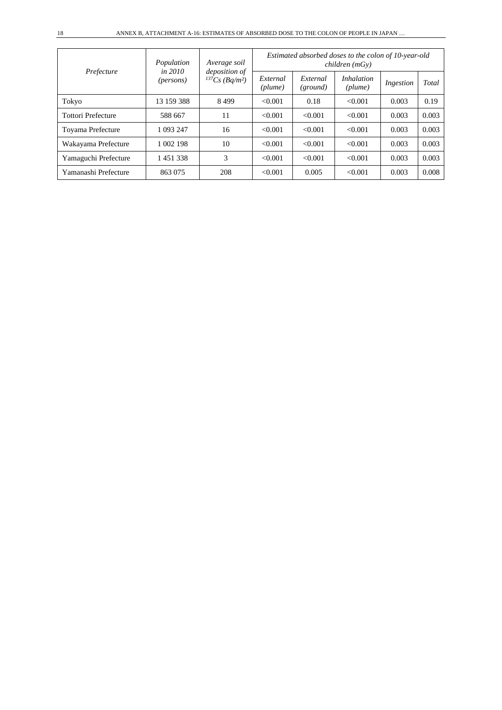| Prefecture                | Population<br>in 2010 | Average soil<br><i>deposition</i> of |                     |                      | children(mGy)                | Estimated absorbed doses to the colon of 10-year-old |       |
|---------------------------|-----------------------|--------------------------------------|---------------------|----------------------|------------------------------|------------------------------------------------------|-------|
|                           | ( <i>persons</i> )    | $^{137}Cs$ (Bq/m <sup>2</sup> )      | External<br>(plume) | External<br>(ground) | <i>Inhalation</i><br>(plume) | Ingestion                                            | Total |
| Tokyo                     | 13 159 388            | 8499                                 | < 0.001             | 0.18                 | < 0.001                      | 0.003                                                | 0.19  |
| <b>Tottori Prefecture</b> | 588 667               | 11                                   | < 0.001             | < 0.001              | < 0.001                      | 0.003                                                | 0.003 |
| Toyama Prefecture         | 1 093 247             | 16                                   | < 0.001             | < 0.001              | < 0.001                      | 0.003                                                | 0.003 |
| Wakayama Prefecture       | 1 002 198             | 10                                   | < 0.001             | < 0.001              | < 0.001                      | 0.003                                                | 0.003 |
| Yamaguchi Prefecture      | 1451338               | 3                                    | < 0.001             | < 0.001              | < 0.001                      | 0.003                                                | 0.003 |
| Yamanashi Prefecture      | 863 075               | 208                                  | < 0.001             | 0.005                | < 0.001                      | 0.003                                                | 0.008 |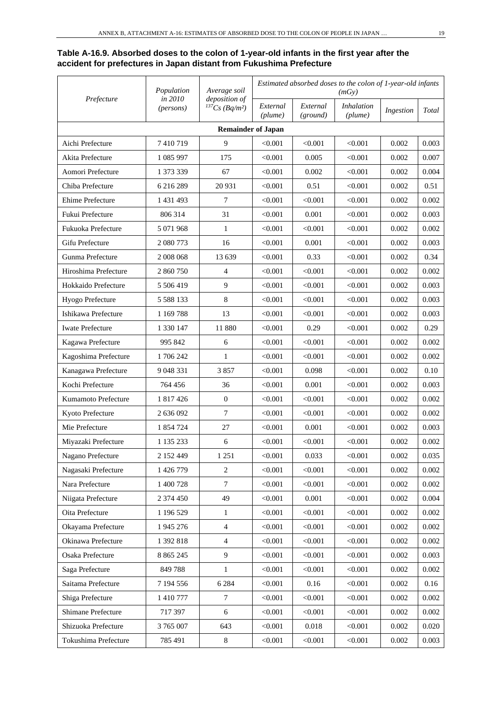## **Table A-16.9. Absorbed doses to the colon of 1-year-old infants in the first year after the accident for prefectures in Japan distant from Fukushima Prefecture**

|                         | Population           | Average soil<br>deposition of     | Estimated absorbed doses to the colon of 1-year-old infants<br>(mGy) |                      |                              |           |       |
|-------------------------|----------------------|-----------------------------------|----------------------------------------------------------------------|----------------------|------------------------------|-----------|-------|
| Prefecture              | in 2010<br>(persons) | ${}^{137}Cs$ (Bq/m <sup>2</sup> ) | External<br>(plume)                                                  | External<br>(ground) | <i>Inhalation</i><br>(plume) | Ingestion | Total |
|                         |                      | <b>Remainder of Japan</b>         |                                                                      |                      |                              |           |       |
| Aichi Prefecture        | 7410719              | 9                                 | < 0.001                                                              | < 0.001              | < 0.001                      | 0.002     | 0.003 |
| Akita Prefecture        | 1 085 997            | 175                               | < 0.001                                                              | 0.005                | < 0.001                      | 0.002     | 0.007 |
| Aomori Prefecture       | 1 373 339            | 67                                | < 0.001                                                              | 0.002                | < 0.001                      | 0.002     | 0.004 |
| Chiba Prefecture        | 6 216 289            | 20 931                            | < 0.001                                                              | 0.51                 | < 0.001                      | 0.002     | 0.51  |
| Ehime Prefecture        | 1 431 493            | $\overline{7}$                    | < 0.001                                                              | < 0.001              | < 0.001                      | 0.002     | 0.002 |
| Fukui Prefecture        | 806 314              | 31                                | < 0.001                                                              | 0.001                | < 0.001                      | 0.002     | 0.003 |
| Fukuoka Prefecture      | 5 071 968            | $\mathbf{1}$                      | < 0.001                                                              | < 0.001              | < 0.001                      | 0.002     | 0.002 |
| Gifu Prefecture         | 2 080 773            | 16                                | < 0.001                                                              | 0.001                | < 0.001                      | 0.002     | 0.003 |
| Gunma Prefecture        | 2 008 068            | 13 639                            | < 0.001                                                              | 0.33                 | < 0.001                      | 0.002     | 0.34  |
| Hiroshima Prefecture    | 2 860 750            | $\overline{4}$                    | < 0.001                                                              | < 0.001              | < 0.001                      | 0.002     | 0.002 |
| Hokkaido Prefecture     | 5 506 419            | 9                                 | < 0.001                                                              | < 0.001              | < 0.001                      | 0.002     | 0.003 |
| Hyogo Prefecture        | 5 5 8 1 3 3          | 8                                 | < 0.001                                                              | < 0.001              | < 0.001                      | 0.002     | 0.003 |
| Ishikawa Prefecture     | 1 1 69 7 88          | 13                                | < 0.001                                                              | < 0.001              | < 0.001                      | 0.002     | 0.003 |
| <b>Iwate Prefecture</b> | 1 330 147            | 11 880                            | < 0.001                                                              | 0.29                 | < 0.001                      | 0.002     | 0.29  |
| Kagawa Prefecture       | 995 842              | 6                                 | < 0.001                                                              | < 0.001              | < 0.001                      | 0.002     | 0.002 |
| Kagoshima Prefecture    | 1706242              | 1                                 | < 0.001                                                              | < 0.001              | < 0.001                      | 0.002     | 0.002 |
| Kanagawa Prefecture     | 9 048 331            | 3857                              | < 0.001                                                              | 0.098                | < 0.001                      | 0.002     | 0.10  |
| Kochi Prefecture        | 764 456              | 36                                | < 0.001                                                              | 0.001                | < 0.001                      | 0.002     | 0.003 |
| Kumamoto Prefecture     | 1 817 426            | $\boldsymbol{0}$                  | < 0.001                                                              | < 0.001              | < 0.001                      | 0.002     | 0.002 |
| Kyoto Prefecture        | 2 636 092            | $\overline{7}$                    | < 0.001                                                              | < 0.001              | < 0.001                      | 0.002     | 0.002 |
| Mie Prefecture          | 1 854 724            | 27                                | < 0.001                                                              | 0.001                | < 0.001                      | 0.002     | 0.003 |
| Miyazaki Prefecture     | 1 135 233            | 6                                 | < 0.001                                                              | < 0.001              | < 0.001                      | 0.002     | 0.002 |
| Nagano Prefecture       | 2 152 449            | 1 251                             | < 0.001                                                              | 0.033                | < 0.001                      | 0.002     | 0.035 |
| Nagasaki Prefecture     | 1 426 779            | $\sqrt{2}$                        | < 0.001                                                              | < 0.001              | < 0.001                      | 0.002     | 0.002 |
| Nara Prefecture         | 1 400 728            | $\tau$                            | < 0.001                                                              | < 0.001              | < 0.001                      | 0.002     | 0.002 |
| Niigata Prefecture      | 2 374 450            | 49                                | < 0.001                                                              | 0.001                | < 0.001                      | 0.002     | 0.004 |
| Oita Prefecture         | 1 196 529            | 1                                 | < 0.001                                                              | < 0.001              | < 0.001                      | 0.002     | 0.002 |
| Okayama Prefecture      | 1 945 276            | $\overline{4}$                    | < 0.001                                                              | < 0.001              | < 0.001                      | 0.002     | 0.002 |
| Okinawa Prefecture      | 1 392 818            | $\overline{4}$                    | < 0.001                                                              | < 0.001              | < 0.001                      | 0.002     | 0.002 |
| Osaka Prefecture        | 8 8 6 5 2 4 5        | $\overline{9}$                    | < 0.001                                                              | < 0.001              | < 0.001                      | 0.002     | 0.003 |
| Saga Prefecture         | 849788               | $\mathbf{1}$                      | < 0.001                                                              | < 0.001              | < 0.001                      | 0.002     | 0.002 |
| Saitama Prefecture      | 7 194 556            | 6 2 8 4                           | < 0.001                                                              | 0.16                 | < 0.001                      | 0.002     | 0.16  |
| Shiga Prefecture        | 1 410 777            | $\overline{7}$                    | < 0.001                                                              | < 0.001              | < 0.001                      | 0.002     | 0.002 |
| Shimane Prefecture      | 717 397              | 6                                 | < 0.001                                                              | < 0.001              | < 0.001                      | 0.002     | 0.002 |
| Shizuoka Prefecture     | 3 765 007            | 643                               | < 0.001                                                              | 0.018                | < 0.001                      | 0.002     | 0.020 |
| Tokushima Prefecture    | 785 491              | $\,8\,$                           | < 0.001                                                              | < 0.001              | < 0.001                      | 0.002     | 0.003 |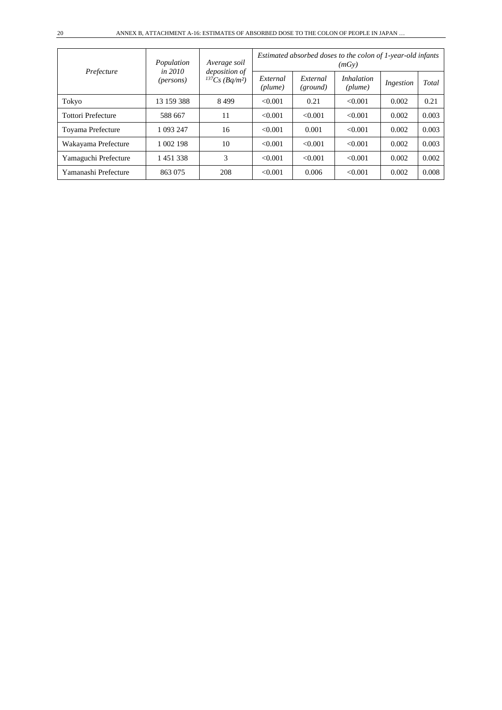| Prefecture                | Population<br>in 2010 | Average soil                    | <i>deposition</i> of |                      | Estimated absorbed doses to the colon of 1-year-old infants<br>(mGv) |           |       |  |
|---------------------------|-----------------------|---------------------------------|----------------------|----------------------|----------------------------------------------------------------------|-----------|-------|--|
|                           | ( <i>persons</i> )    | $^{137}Cs$ (Bq/m <sup>2</sup> ) | External<br>(plume)  | External<br>(ground) | <i>Inhalation</i><br>$(\textit{plume})$                              | Ingestion | Total |  |
| Tokyo                     | 13 159 388            | 8499                            | < 0.001              | 0.21                 | < 0.001                                                              | 0.002     | 0.21  |  |
| <b>Tottori Prefecture</b> | 588 667               | 11                              | < 0.001              | < 0.001              | < 0.001                                                              | 0.002     | 0.003 |  |
| Toyama Prefecture         | 1 093 247             | 16                              | < 0.001              | 0.001                | < 0.001                                                              | 0.002     | 0.003 |  |
| Wakayama Prefecture       | 1 002 198             | 10                              | < 0.001              | < 0.001              | < 0.001                                                              | 0.002     | 0.003 |  |
| Yamaguchi Prefecture      | 1451338               | 3                               | < 0.001              | < 0.001              | < 0.001                                                              | 0.002     | 0.002 |  |
| Yamanashi Prefecture      | 863 075               | 208                             | < 0.001              | 0.006                | < 0.001                                                              | 0.002     | 0.008 |  |